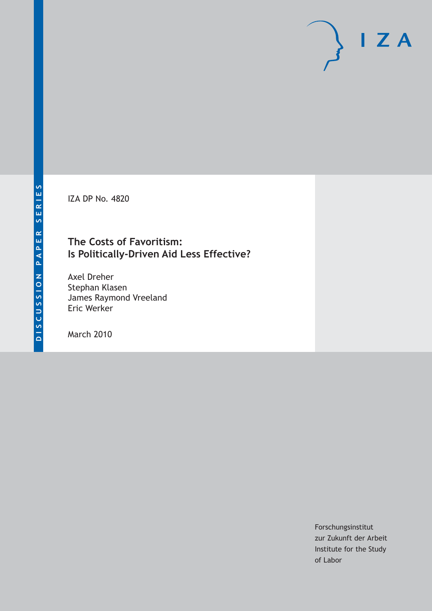IZA DP No. 4820

### **The Costs of Favoritism: Is Politically-Driven Aid Less Effective?**

Axel Dreher Stephan Klasen James Raymond Vreeland Eric Werker

March 2010

Forschungsinstitut zur Zukunft der Arbeit Institute for the Study of Labor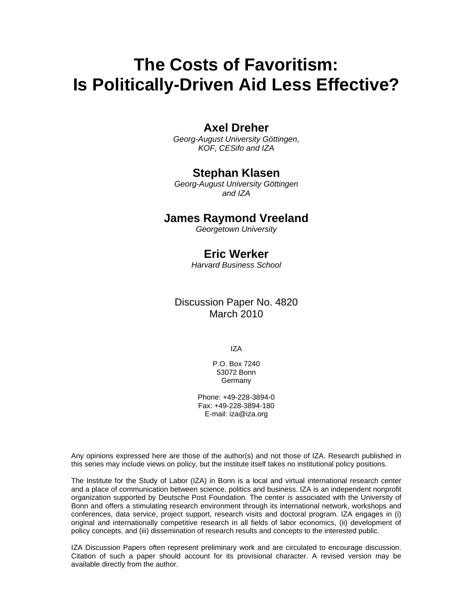# **The Costs of Favoritism: Is Politically-Driven Aid Less Effective?**

### **Axel Dreher**

*Georg-August University Göttingen, KOF, CESifo and IZA* 

### **Stephan Klasen**

*Georg-August University Göttingen and IZA* 

### **James Raymond Vreeland**

*Georgetown University* 

### **Eric Werker**

*Harvard Business School* 

Discussion Paper No. 4820 March 2010

IZA

P.O. Box 7240 53072 Bonn **Germany** 

Phone: +49-228-3894-0 Fax: +49-228-3894-180 E-mail: iza@iza.org

Any opinions expressed here are those of the author(s) and not those of IZA. Research published in this series may include views on policy, but the institute itself takes no institutional policy positions.

The Institute for the Study of Labor (IZA) in Bonn is a local and virtual international research center and a place of communication between science, politics and business. IZA is an independent nonprofit organization supported by Deutsche Post Foundation. The center is associated with the University of Bonn and offers a stimulating research environment through its international network, workshops and conferences, data service, project support, research visits and doctoral program. IZA engages in (i) original and internationally competitive research in all fields of labor economics, (ii) development of policy concepts, and (iii) dissemination of research results and concepts to the interested public.

IZA Discussion Papers often represent preliminary work and are circulated to encourage discussion. Citation of such a paper should account for its provisional character. A revised version may be available directly from the author.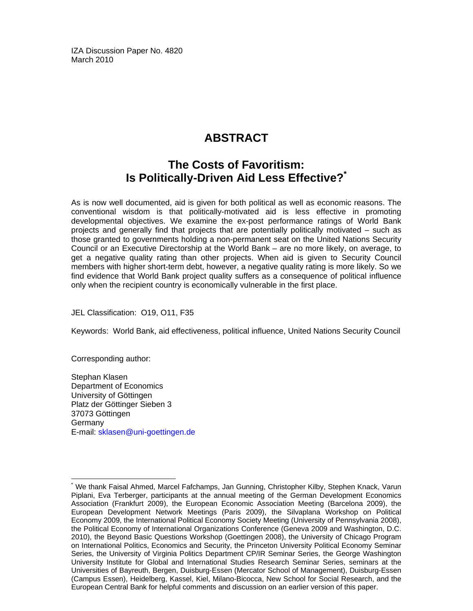IZA Discussion Paper No. 4820 March 2010

# **ABSTRACT**

# **The Costs of Favoritism: Is Politically-Driven Aid Less Effective?\***

As is now well documented, aid is given for both political as well as economic reasons. The conventional wisdom is that politically-motivated aid is less effective in promoting developmental objectives. We examine the ex-post performance ratings of World Bank projects and generally find that projects that are potentially politically motivated – such as those granted to governments holding a non-permanent seat on the United Nations Security Council or an Executive Directorship at the World Bank – are no more likely, on average, to get a negative quality rating than other projects. When aid is given to Security Council members with higher short-term debt, however, a negative quality rating is more likely. So we find evidence that World Bank project quality suffers as a consequence of political influence only when the recipient country is economically vulnerable in the first place.

JEL Classification: O19, O11, F35

Keywords: World Bank, aid effectiveness, political influence, United Nations Security Council

Corresponding author:

Stephan Klasen Department of Economics University of Göttingen Platz der Göttinger Sieben 3 37073 Göttingen Germany E-mail: sklasen@uni-goettingen.de

<sup>-</sup>\* We thank Faisal Ahmed, Marcel Fafchamps, Jan Gunning, Christopher Kilby, Stephen Knack, Varun Piplani, Eva Terberger, participants at the annual meeting of the German Development Economics Association (Frankfurt 2009), the European Economic Association Meeting (Barcelona 2009), the European Development Network Meetings (Paris 2009), the Silvaplana Workshop on Political Economy 2009, the International Political Economy Society Meeting (University of Pennsylvania 2008), the Political Economy of International Organizations Conference (Geneva 2009 and Washington, D.C. 2010), the Beyond Basic Questions Workshop (Goettingen 2008), the University of Chicago Program on International Politics, Economics and Security, the Princeton University Political Economy Seminar Series, the University of Virginia Politics Department CP/IR Seminar Series, the George Washington University Institute for Global and International Studies Research Seminar Series, seminars at the Universities of Bayreuth, Bergen, Duisburg-Essen (Mercator School of Management), Duisburg-Essen (Campus Essen), Heidelberg, Kassel, Kiel, Milano-Bicocca, New School for Social Research, and the European Central Bank for helpful comments and discussion on an earlier version of this paper.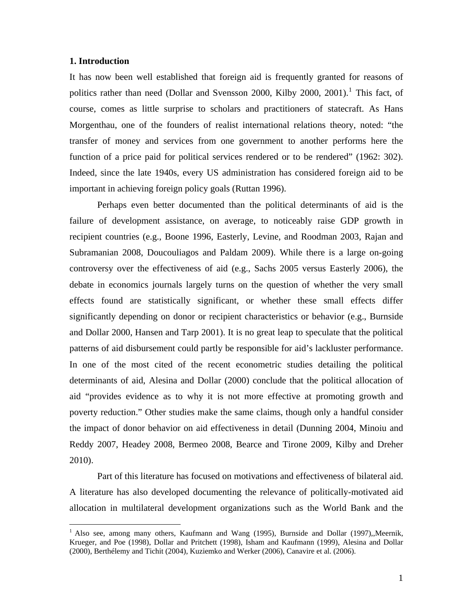#### **1. Introduction**

1

It has now been well established that foreign aid is frequently granted for reasons of politics rather than need (Dollar and Svensson 2000, Kilby 2000, 200[1](#page-3-0)).<sup>1</sup> This fact, of course, comes as little surprise to scholars and practitioners of statecraft. As Hans Morgenthau, one of the founders of realist international relations theory, noted: "the transfer of money and services from one government to another performs here the function of a price paid for political services rendered or to be rendered" (1962: 302). Indeed, since the late 1940s, every US administration has considered foreign aid to be important in achieving foreign policy goals (Ruttan 1996).

Perhaps even better documented than the political determinants of aid is the failure of development assistance, on average, to noticeably raise GDP growth in recipient countries (e.g., Boone 1996, Easterly, Levine, and Roodman 2003, Rajan and Subramanian 2008, Doucouliagos and Paldam 2009). While there is a large on-going controversy over the effectiveness of aid (e.g., Sachs 2005 versus Easterly 2006), the debate in economics journals largely turns on the question of whether the very small effects found are statistically significant, or whether these small effects differ significantly depending on donor or recipient characteristics or behavior (e.g., Burnside and Dollar 2000, Hansen and Tarp 2001). It is no great leap to speculate that the political patterns of aid disbursement could partly be responsible for aid's lackluster performance. In one of the most cited of the recent econometric studies detailing the political determinants of aid, Alesina and Dollar (2000) conclude that the political allocation of aid "provides evidence as to why it is not more effective at promoting growth and poverty reduction." Other studies make the same claims, though only a handful consider the impact of donor behavior on aid effectiveness in detail (Dunning 2004, Minoiu and Reddy 2007, Headey 2008, Bermeo 2008, Bearce and Tirone 2009, Kilby and Dreher 2010).

Part of this literature has focused on motivations and effectiveness of bilateral aid. A literature has also developed documenting the relevance of politically-motivated aid allocation in multilateral development organizations such as the World Bank and the

<span id="page-3-0"></span><sup>&</sup>lt;sup>1</sup> Also see, among many others, Kaufmann and Wang (1995), Burnside and Dollar (1997),,Meernik, Krueger, and Poe (1998), Dollar and Pritchett (1998), Isham and Kaufmann (1999), Alesina and Dollar (2000), Berthélemy and Tichit (2004), Kuziemko and Werker (2006), Canavire et al. (2006).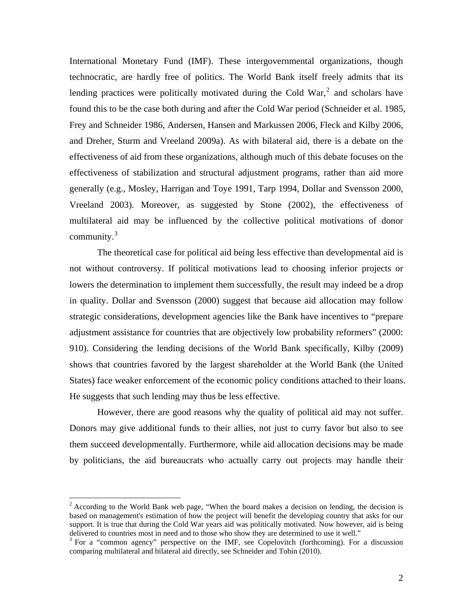International Monetary Fund (IMF). These intergovernmental organizations, though technocratic, are hardly free of politics. The World Bank itself freely admits that its lending practices were politically motivated during the Cold War, $<sup>2</sup>$  $<sup>2</sup>$  $<sup>2</sup>$  and scholars have</sup> found this to be the case both during and after the Cold War period (Schneider et al. 1985, Frey and Schneider 1986, Andersen, Hansen and Markussen 2006, Fleck and Kilby 2006, and Dreher, Sturm and Vreeland 2009a). As with bilateral aid, there is a debate on the effectiveness of aid from these organizations, although much of this debate focuses on the effectiveness of stabilization and structural adjustment programs, rather than aid more generally (e.g., Mosley, Harrigan and Toye 1991, Tarp 1994, Dollar and Svensson 2000, Vreeland 2003). Moreover, as suggested by Stone (2002), the effectiveness of multilateral aid may be influenced by the collective political motivations of donor community. $3$ 

The theoretical case for political aid being less effective than developmental aid is not without controversy. If political motivations lead to choosing inferior projects or lowers the determination to implement them successfully, the result may indeed be a drop in quality. Dollar and Svensson (2000) suggest that because aid allocation may follow strategic considerations, development agencies like the Bank have incentives to "prepare adjustment assistance for countries that are objectively low probability reformers" (2000: 910). Considering the lending decisions of the World Bank specifically, Kilby (2009) shows that countries favored by the largest shareholder at the World Bank (the United States) face weaker enforcement of the economic policy conditions attached to their loans. He suggests that such lending may thus be less effective.

However, there are good reasons why the quality of political aid may not suffer. Donors may give additional funds to their allies, not just to curry favor but also to see them succeed developmentally. Furthermore, while aid allocation decisions may be made by politicians, the aid bureaucrats who actually carry out projects may handle their

1

 $2^2$  According to the World Bank web page, "When the board makes a decision on lending, the decision is based on management's estimation of how the project will benefit the developing country that asks for our support. It is true that during the Cold War years aid was politically motivated. Now however, aid is being delivered to countries most in need and to those who show they are determined to use it well."

<span id="page-4-1"></span><span id="page-4-0"></span> $3$  For a "common agency" perspective on the IMF, see Copelovitch (forthcoming). For a discussion comparing multilateral and bilateral aid directly, see Schneider and Tobin (2010).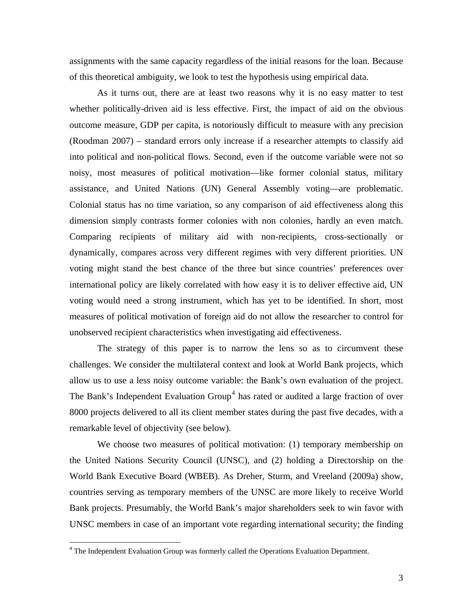assignments with the same capacity regardless of the initial reasons for the loan. Because of this theoretical ambiguity, we look to test the hypothesis using empirical data.

As it turns out, there are at least two reasons why it is no easy matter to test whether politically-driven aid is less effective. First, the impact of aid on the obvious outcome measure, GDP per capita, is notoriously difficult to measure with any precision (Roodman 2007) – standard errors only increase if a researcher attempts to classify aid into political and non-political flows. Second, even if the outcome variable were not so noisy, most measures of political motivation—like former colonial status, military assistance, and United Nations (UN) General Assembly voting—are problematic. Colonial status has no time variation, so any comparison of aid effectiveness along this dimension simply contrasts former colonies with non colonies, hardly an even match. Comparing recipients of military aid with non-recipients, cross-sectionally or dynamically, compares across very different regimes with very different priorities. UN voting might stand the best chance of the three but since countries' preferences over international policy are likely correlated with how easy it is to deliver effective aid, UN voting would need a strong instrument, which has yet to be identified. In short, most measures of political motivation of foreign aid do not allow the researcher to control for unobserved recipient characteristics when investigating aid effectiveness.

The strategy of this paper is to narrow the lens so as to circumvent these challenges. We consider the multilateral context and look at World Bank projects, which allow us to use a less noisy outcome variable: the Bank's own evaluation of the project. The Bank's Independent Evaluation  $Group<sup>4</sup>$  $Group<sup>4</sup>$  $Group<sup>4</sup>$  has rated or audited a large fraction of over 8000 projects delivered to all its client member states during the past five decades, with a remarkable level of objectivity (see below).

We choose two measures of political motivation: (1) temporary membership on the United Nations Security Council (UNSC), and (2) holding a Directorship on the World Bank Executive Board (WBEB). As Dreher, Sturm, and Vreeland (2009a) show, countries serving as temporary members of the UNSC are more likely to receive World Bank projects. Presumably, the World Bank's major shareholders seek to win favor with UNSC members in case of an important vote regarding international security; the finding

 $\overline{a}$ 

<span id="page-5-0"></span><sup>&</sup>lt;sup>4</sup> The Independent Evaluation Group was formerly called the Operations Evaluation Department.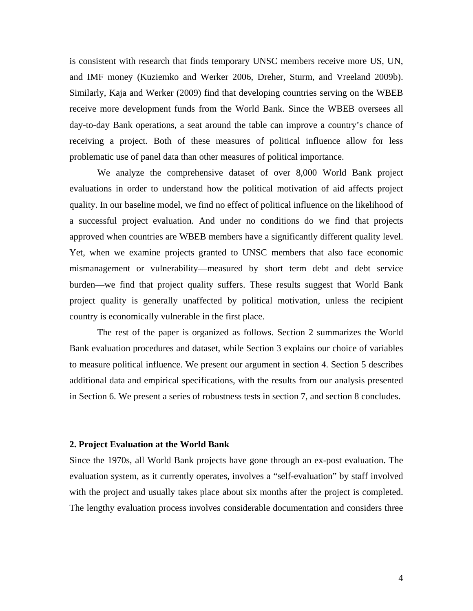is consistent with research that finds temporary UNSC members receive more US, UN, and IMF money (Kuziemko and Werker 2006, Dreher, Sturm, and Vreeland 2009b). Similarly, Kaja and Werker (2009) find that developing countries serving on the WBEB receive more development funds from the World Bank. Since the WBEB oversees all day-to-day Bank operations, a seat around the table can improve a country's chance of receiving a project. Both of these measures of political influence allow for less problematic use of panel data than other measures of political importance.

We analyze the comprehensive dataset of over 8,000 World Bank project evaluations in order to understand how the political motivation of aid affects project quality. In our baseline model, we find no effect of political influence on the likelihood of a successful project evaluation. And under no conditions do we find that projects approved when countries are WBEB members have a significantly different quality level. Yet, when we examine projects granted to UNSC members that also face economic mismanagement or vulnerability—measured by short term debt and debt service burden—we find that project quality suffers. These results suggest that World Bank project quality is generally unaffected by political motivation, unless the recipient country is economically vulnerable in the first place.

The rest of the paper is organized as follows. Section 2 summarizes the World Bank evaluation procedures and dataset, while Section 3 explains our choice of variables to measure political influence. We present our argument in section 4. Section 5 describes additional data and empirical specifications, with the results from our analysis presented in Section 6. We present a series of robustness tests in section 7, and section 8 concludes.

#### **2. Project Evaluation at the World Bank**

Since the 1970s, all World Bank projects have gone through an ex-post evaluation. The evaluation system, as it currently operates, involves a "self-evaluation" by staff involved with the project and usually takes place about six months after the project is completed. The lengthy evaluation process involves considerable documentation and considers three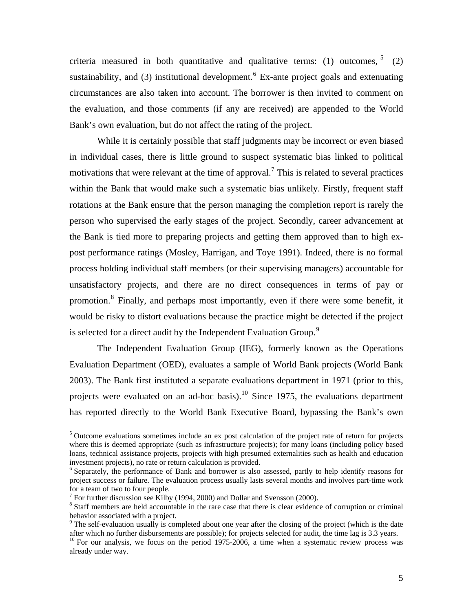<span id="page-7-0"></span>criteria measured in both quantitative and qualitative terms: (1) outcomes,  $5(2)$  $5(2)$ sustainability, and (3) institutional development.  $6$  Ex-ante project goals and extenuating circumstances are also taken into account. The borrower is then invited to comment on the evaluation, and those comments (if any are received) are appended to the World Bank's own evaluation, but do not affect the rating of the project.

While it is certainly possible that staff judgments may be incorrect or even biased in individual cases, there is little ground to suspect systematic bias linked to political motivations that were relevant at the time of approval.<sup>[7](#page-7-0)</sup> This is related to several practices within the Bank that would make such a systematic bias unlikely. Firstly, frequent staff rotations at the Bank ensure that the person managing the completion report is rarely the person who supervised the early stages of the project. Secondly, career advancement at the Bank is tied more to preparing projects and getting them approved than to high expost performance ratings (Mosley, Harrigan, and Toye 1991). Indeed, there is no formal process holding individual staff members (or their supervising managers) accountable for unsatisfactory projects, and there are no direct consequences in terms of pay or promotion.<sup>[8](#page-7-0)</sup> Finally, and perhaps most importantly, even if there were some benefit, it would be risky to distort evaluations because the practice might be detected if the project is selected for a direct audit by the Independent Evaluation Group.<sup>[9](#page-7-0)</sup>

The Independent Evaluation Group (IEG), formerly known as the Operations Evaluation Department (OED), evaluates a sample of World Bank projects (World Bank 2003). The Bank first instituted a separate evaluations department in 1971 (prior to this, projects were evaluated on an ad-hoc basis).<sup>[10](#page-7-0)</sup> Since 1975, the evaluations department has reported directly to the World Bank Executive Board, bypassing the Bank's own

1

<sup>&</sup>lt;sup>5</sup> Outcome evaluations sometimes include an ex post calculation of the project rate of return for projects where this is deemed appropriate (such as infrastructure projects); for many loans (including policy based loans, technical assistance projects, projects with high presumed externalities such as health and education investment projects), no rate or return calculation is provided.

<sup>&</sup>lt;sup>6</sup> Separately, the performance of Bank and borrower is also assessed, partly to help identify reasons for project success or failure. The evaluation process usually lasts several months and involves part-time work for a team of two to four people.

 $^7$  For further discussion see Kilby (1994, 2000) and Dollar and Svensson (2000).

<sup>&</sup>lt;sup>8</sup> Staff members are held accountable in the rare case that there is clear evidence of corruption or criminal behavior associated with a project.

<sup>&</sup>lt;sup>9</sup> The self-evaluation usually is completed about one year after the closing of the project (which is the date after which no further disbursements are possible); for projects selected for audit, the time lag is 3.3 years.

<sup>&</sup>lt;sup>10</sup> For our analysis, we focus on the period 1975-2006, a time when a systematic review process was already under way.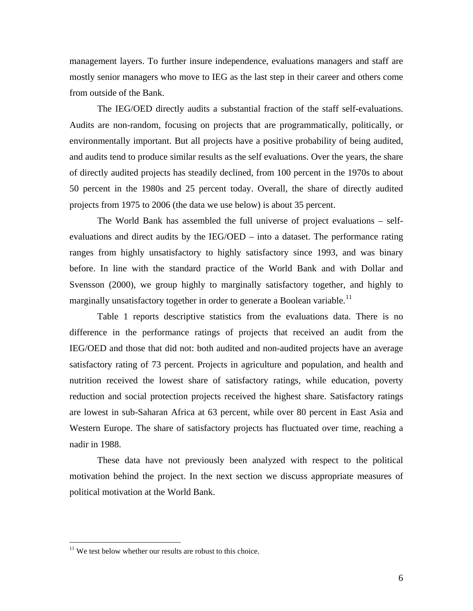<span id="page-8-0"></span>management layers. To further insure independence, evaluations managers and staff are mostly senior managers who move to IEG as the last step in their career and others come from outside of the Bank.

The IEG/OED directly audits a substantial fraction of the staff self-evaluations. Audits are non-random, focusing on projects that are programmatically, politically, or environmentally important. But all projects have a positive probability of being audited, and audits tend to produce similar results as the self evaluations. Over the years, the share of directly audited projects has steadily declined, from 100 percent in the 1970s to about 50 percent in the 1980s and 25 percent today. Overall, the share of directly audited projects from 1975 to 2006 (the data we use below) is about 35 percent.

The World Bank has assembled the full universe of project evaluations – selfevaluations and direct audits by the IEG/OED – into a dataset. The performance rating ranges from highly unsatisfactory to highly satisfactory since 1993, and was binary before. In line with the standard practice of the World Bank and with Dollar and Svensson (2000), we group highly to marginally satisfactory together, and highly to marginally unsatisfactory together in order to generate a Boolean variable.<sup>[11](#page-8-0)</sup>

Table 1 reports descriptive statistics from the evaluations data. There is no difference in the performance ratings of projects that received an audit from the IEG/OED and those that did not: both audited and non-audited projects have an average satisfactory rating of 73 percent. Projects in agriculture and population, and health and nutrition received the lowest share of satisfactory ratings, while education, poverty reduction and social protection projects received the highest share. Satisfactory ratings are lowest in sub-Saharan Africa at 63 percent, while over 80 percent in East Asia and Western Europe. The share of satisfactory projects has fluctuated over time, reaching a nadir in 1988.

These data have not previously been analyzed with respect to the political motivation behind the project. In the next section we discuss appropriate measures of political motivation at the World Bank.

<u>.</u>

 $11$  We test below whether our results are robust to this choice.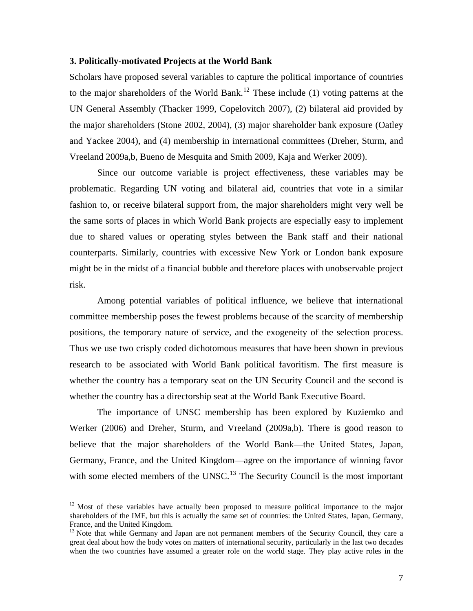#### <span id="page-9-0"></span>**3. Politically-motivated Projects at the World Bank**

Scholars have proposed several variables to capture the political importance of countries to the major shareholders of the World Bank.<sup>[12](#page-9-0)</sup> These include (1) voting patterns at the UN General Assembly (Thacker 1999, Copelovitch 2007), (2) bilateral aid provided by the major shareholders (Stone 2002, 2004), (3) major shareholder bank exposure (Oatley and Yackee 2004), and (4) membership in international committees (Dreher, Sturm, and Vreeland 2009a,b, Bueno de Mesquita and Smith 2009, Kaja and Werker 2009).

Since our outcome variable is project effectiveness, these variables may be problematic. Regarding UN voting and bilateral aid, countries that vote in a similar fashion to, or receive bilateral support from, the major shareholders might very well be the same sorts of places in which World Bank projects are especially easy to implement due to shared values or operating styles between the Bank staff and their national counterparts. Similarly, countries with excessive New York or London bank exposure might be in the midst of a financial bubble and therefore places with unobservable project risk.

Among potential variables of political influence, we believe that international committee membership poses the fewest problems because of the scarcity of membership positions, the temporary nature of service, and the exogeneity of the selection process. Thus we use two crisply coded dichotomous measures that have been shown in previous research to be associated with World Bank political favoritism. The first measure is whether the country has a temporary seat on the UN Security Council and the second is whether the country has a directorship seat at the World Bank Executive Board.

The importance of UNSC membership has been explored by Kuziemko and Werker (2006) and Dreher, Sturm, and Vreeland (2009a,b). There is good reason to believe that the major shareholders of the World Bank—the United States, Japan, Germany, France, and the United Kingdom—agree on the importance of winning favor with some elected members of the UNSC.<sup>[13](#page-9-0)</sup> The Security Council is the most important

 $\overline{a}$ 

 $12$  Most of these variables have actually been proposed to measure political importance to the major shareholders of the IMF, but this is actually the same set of countries: the United States, Japan, Germany, France, and the United Kingdom.

<sup>&</sup>lt;sup>13</sup> Note that while Germany and Japan are not permanent members of the Security Council, they care a great deal about how the body votes on matters of international security, particularly in the last two decades when the two countries have assumed a greater role on the world stage. They play active roles in the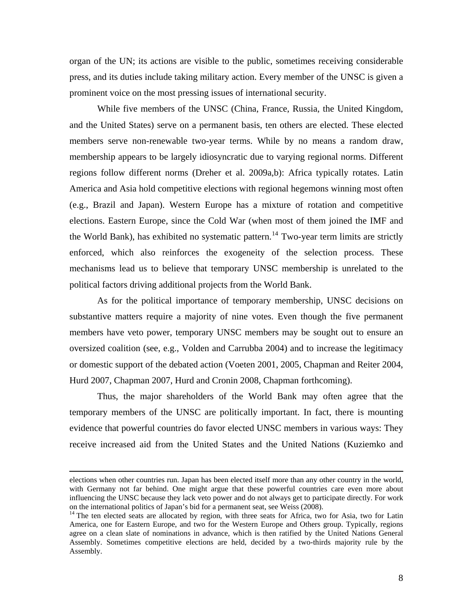<span id="page-10-0"></span>organ of the UN; its actions are visible to the public, sometimes receiving considerable press, and its duties include taking military action. Every member of the UNSC is given a prominent voice on the most pressing issues of international security.

While five members of the UNSC (China, France, Russia, the United Kingdom, and the United States) serve on a permanent basis, ten others are elected. These elected members serve non-renewable two-year terms. While by no means a random draw, membership appears to be largely idiosyncratic due to varying regional norms. Different regions follow different norms (Dreher et al. 2009a,b): Africa typically rotates. Latin America and Asia hold competitive elections with regional hegemons winning most often (e.g., Brazil and Japan). Western Europe has a mixture of rotation and competitive elections. Eastern Europe, since the Cold War (when most of them joined the IMF and the World Bank), has exhibited no systematic pattern.<sup>[14](#page-10-0)</sup> Two-year term limits are strictly enforced, which also reinforces the exogeneity of the selection process. These mechanisms lead us to believe that temporary UNSC membership is unrelated to the political factors driving additional projects from the World Bank.

As for the political importance of temporary membership, UNSC decisions on substantive matters require a majority of nine votes. Even though the five permanent members have veto power, temporary UNSC members may be sought out to ensure an oversized coalition (see, e.g., Volden and Carrubba 2004) and to increase the legitimacy or domestic support of the debated action (Voeten 2001, 2005, Chapman and Reiter 2004, Hurd 2007, Chapman 2007, Hurd and Cronin 2008, Chapman forthcoming).

Thus, the major shareholders of the World Bank may often agree that the temporary members of the UNSC are politically important. In fact, there is mounting evidence that powerful countries do favor elected UNSC members in various ways: They receive increased aid from the United States and the United Nations (Kuziemko and

elections when other countries run. Japan has been elected itself more than any other country in the world, with Germany not far behind. One might argue that these powerful countries care even more about influencing the UNSC because they lack veto power and do not always get to participate directly. For work on the international politics of Japan's bid for a permanent seat, see Weiss (2008).

<sup>&</sup>lt;sup>14</sup> The ten elected seats are allocated by region, with three seats for Africa, two for Asia, two for Latin America, one for Eastern Europe, and two for the Western Europe and Others group. Typically, regions agree on a clean slate of nominations in advance, which is then ratified by the United Nations General Assembly. Sometimes competitive elections are held, decided by a two-thirds majority rule by the Assembly.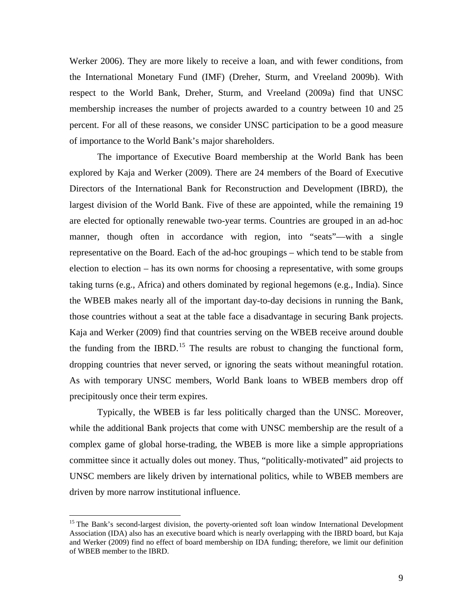<span id="page-11-0"></span>Werker 2006). They are more likely to receive a loan, and with fewer conditions, from the International Monetary Fund (IMF) (Dreher, Sturm, and Vreeland 2009b). With respect to the World Bank, Dreher, Sturm, and Vreeland (2009a) find that UNSC membership increases the number of projects awarded to a country between 10 and 25 percent. For all of these reasons, we consider UNSC participation to be a good measure of importance to the World Bank's major shareholders.

The importance of Executive Board membership at the World Bank has been explored by Kaja and Werker (2009). There are 24 members of the Board of Executive Directors of the International Bank for Reconstruction and Development (IBRD), the largest division of the World Bank. Five of these are appointed, while the remaining 19 are elected for optionally renewable two-year terms. Countries are grouped in an ad-hoc manner, though often in accordance with region, into "seats"—with a single representative on the Board. Each of the ad-hoc groupings – which tend to be stable from election to election – has its own norms for choosing a representative, with some groups taking turns (e.g., Africa) and others dominated by regional hegemons (e.g., India). Since the WBEB makes nearly all of the important day-to-day decisions in running the Bank, those countries without a seat at the table face a disadvantage in securing Bank projects. Kaja and Werker (2009) find that countries serving on the WBEB receive around double the funding from the IBRD.<sup>[15](#page-11-0)</sup> The results are robust to changing the functional form, dropping countries that never served, or ignoring the seats without meaningful rotation. As with temporary UNSC members, World Bank loans to WBEB members drop off precipitously once their term expires.

Typically, the WBEB is far less politically charged than the UNSC. Moreover, while the additional Bank projects that come with UNSC membership are the result of a complex game of global horse-trading, the WBEB is more like a simple appropriations committee since it actually doles out money. Thus, "politically-motivated" aid projects to UNSC members are likely driven by international politics, while to WBEB members are driven by more narrow institutional influence.

 $\overline{a}$ 

<sup>&</sup>lt;sup>15</sup> The Bank's second-largest division, the poverty-oriented soft loan window International Development Association (IDA) also has an executive board which is nearly overlapping with the IBRD board, but Kaja and Werker (2009) find no effect of board membership on IDA funding; therefore, we limit our definition of WBEB member to the IBRD.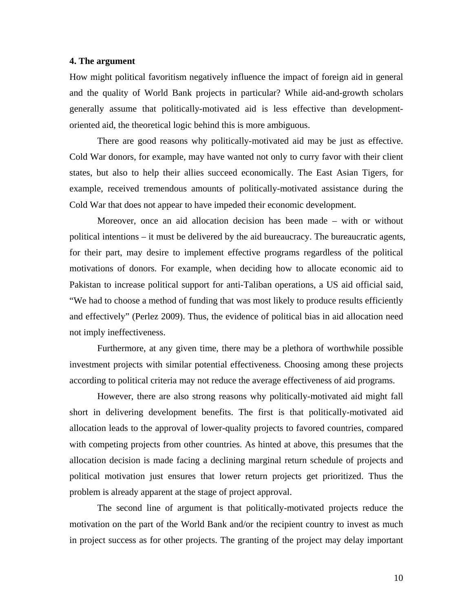#### **4. The argument**

How might political favoritism negatively influence the impact of foreign aid in general and the quality of World Bank projects in particular? While aid-and-growth scholars generally assume that politically-motivated aid is less effective than developmentoriented aid, the theoretical logic behind this is more ambiguous.

There are good reasons why politically-motivated aid may be just as effective. Cold War donors, for example, may have wanted not only to curry favor with their client states, but also to help their allies succeed economically. The East Asian Tigers, for example, received tremendous amounts of politically-motivated assistance during the Cold War that does not appear to have impeded their economic development.

Moreover, once an aid allocation decision has been made – with or without political intentions – it must be delivered by the aid bureaucracy. The bureaucratic agents, for their part, may desire to implement effective programs regardless of the political motivations of donors. For example, when deciding how to allocate economic aid to Pakistan to increase political support for anti-Taliban operations, a US aid official said, "We had to choose a method of funding that was most likely to produce results efficiently and effectively" (Perlez 2009). Thus, the evidence of political bias in aid allocation need not imply ineffectiveness.

Furthermore, at any given time, there may be a plethora of worthwhile possible investment projects with similar potential effectiveness. Choosing among these projects according to political criteria may not reduce the average effectiveness of aid programs.

However, there are also strong reasons why politically-motivated aid might fall short in delivering development benefits. The first is that politically-motivated aid allocation leads to the approval of lower-quality projects to favored countries, compared with competing projects from other countries. As hinted at above, this presumes that the allocation decision is made facing a declining marginal return schedule of projects and political motivation just ensures that lower return projects get prioritized. Thus the problem is already apparent at the stage of project approval.

The second line of argument is that politically-motivated projects reduce the motivation on the part of the World Bank and/or the recipient country to invest as much in project success as for other projects. The granting of the project may delay important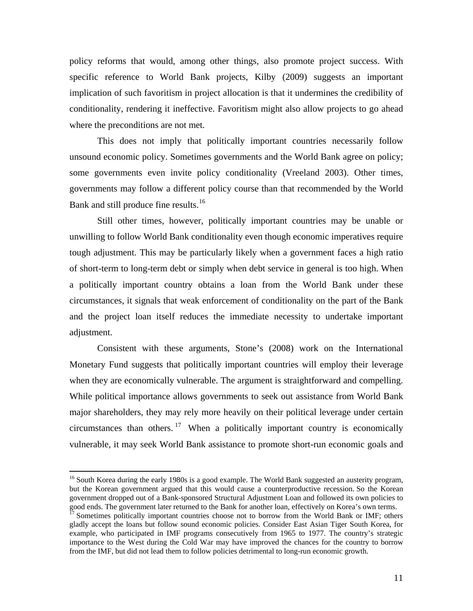<span id="page-13-0"></span>policy reforms that would, among other things, also promote project success. With specific reference to World Bank projects, Kilby (2009) suggests an important implication of such favoritism in project allocation is that it undermines the credibility of conditionality, rendering it ineffective. Favoritism might also allow projects to go ahead where the preconditions are not met.

This does not imply that politically important countries necessarily follow unsound economic policy. Sometimes governments and the World Bank agree on policy; some governments even invite policy conditionality (Vreeland 2003). Other times, governments may follow a different policy course than that recommended by the World Bank and still produce fine results.<sup>[16](#page-13-0)</sup>

Still other times, however, politically important countries may be unable or unwilling to follow World Bank conditionality even though economic imperatives require tough adjustment. This may be particularly likely when a government faces a high ratio of short-term to long-term debt or simply when debt service in general is too high. When a politically important country obtains a loan from the World Bank under these circumstances, it signals that weak enforcement of conditionality on the part of the Bank and the project loan itself reduces the immediate necessity to undertake important adjustment.

Consistent with these arguments, Stone's (2008) work on the International Monetary Fund suggests that politically important countries will employ their leverage when they are economically vulnerable. The argument is straightforward and compelling. While political importance allows governments to seek out assistance from World Bank major shareholders, they may rely more heavily on their political leverage under certain circumstances than others. <sup>[17](#page-13-0)</sup> When a politically important country is economically vulnerable, it may seek World Bank assistance to promote short-run economic goals and

 $\overline{a}$ 

<sup>&</sup>lt;sup>16</sup> South Korea during the early 1980s is a good example. The World Bank suggested an austerity program, but the Korean government argued that this would cause a counterproductive recession. So the Korean government dropped out of a Bank-sponsored Structural Adjustment Loan and followed its own policies to

good ends. The government later returned to the Bank for another loan, effectively on Korea's own terms.<br><sup>17</sup> Sometimes politically important countries choose not to borrow from the World Bank or IMF; others gladly accept the loans but follow sound economic policies. Consider East Asian Tiger South Korea, for example, who participated in IMF programs consecutively from 1965 to 1977. The country's strategic importance to the West during the Cold War may have improved the chances for the country to borrow from the IMF, but did not lead them to follow policies detrimental to long-run economic growth.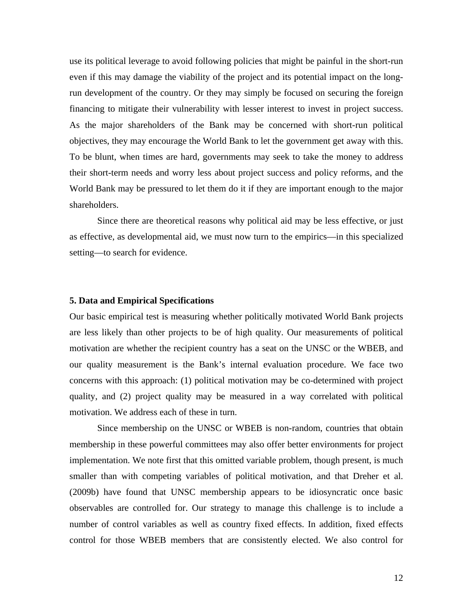use its political leverage to avoid following policies that might be painful in the short-run even if this may damage the viability of the project and its potential impact on the longrun development of the country. Or they may simply be focused on securing the foreign financing to mitigate their vulnerability with lesser interest to invest in project success. As the major shareholders of the Bank may be concerned with short-run political objectives, they may encourage the World Bank to let the government get away with this. To be blunt, when times are hard, governments may seek to take the money to address their short-term needs and worry less about project success and policy reforms, and the World Bank may be pressured to let them do it if they are important enough to the major shareholders.

Since there are theoretical reasons why political aid may be less effective, or just as effective, as developmental aid, we must now turn to the empirics—in this specialized setting—to search for evidence.

#### **5. Data and Empirical Specifications**

Our basic empirical test is measuring whether politically motivated World Bank projects are less likely than other projects to be of high quality. Our measurements of political motivation are whether the recipient country has a seat on the UNSC or the WBEB, and our quality measurement is the Bank's internal evaluation procedure. We face two concerns with this approach: (1) political motivation may be co-determined with project quality, and (2) project quality may be measured in a way correlated with political motivation. We address each of these in turn.

Since membership on the UNSC or WBEB is non-random, countries that obtain membership in these powerful committees may also offer better environments for project implementation. We note first that this omitted variable problem, though present, is much smaller than with competing variables of political motivation, and that Dreher et al. (2009b) have found that UNSC membership appears to be idiosyncratic once basic observables are controlled for. Our strategy to manage this challenge is to include a number of control variables as well as country fixed effects. In addition, fixed effects control for those WBEB members that are consistently elected. We also control for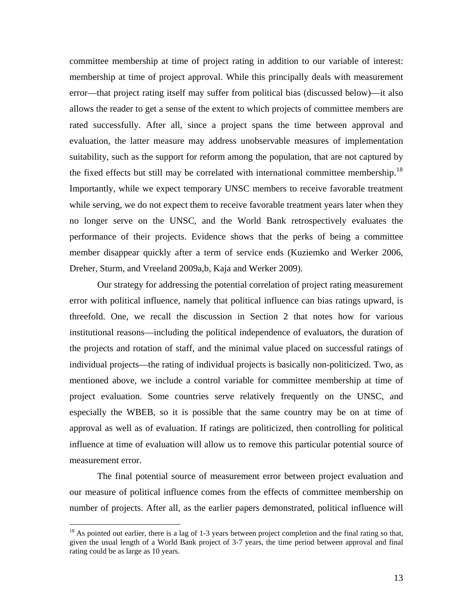<span id="page-15-0"></span>committee membership at time of project rating in addition to our variable of interest: membership at time of project approval. While this principally deals with measurement error—that project rating itself may suffer from political bias (discussed below)—it also allows the reader to get a sense of the extent to which projects of committee members are rated successfully. After all, since a project spans the time between approval and evaluation, the latter measure may address unobservable measures of implementation suitability, such as the support for reform among the population, that are not captured by the fixed effects but still may be correlated with international committee membership.<sup>[18](#page-15-0)</sup> Importantly, while we expect temporary UNSC members to receive favorable treatment while serving, we do not expect them to receive favorable treatment years later when they no longer serve on the UNSC, and the World Bank retrospectively evaluates the performance of their projects. Evidence shows that the perks of being a committee member disappear quickly after a term of service ends (Kuziemko and Werker 2006, Dreher, Sturm, and Vreeland 2009a,b, Kaja and Werker 2009).

Our strategy for addressing the potential correlation of project rating measurement error with political influence, namely that political influence can bias ratings upward, is threefold. One, we recall the discussion in Section 2 that notes how for various institutional reasons—including the political independence of evaluators, the duration of the projects and rotation of staff, and the minimal value placed on successful ratings of individual projects—the rating of individual projects is basically non-politicized. Two, as mentioned above, we include a control variable for committee membership at time of project evaluation. Some countries serve relatively frequently on the UNSC, and especially the WBEB, so it is possible that the same country may be on at time of approval as well as of evaluation. If ratings are politicized, then controlling for political influence at time of evaluation will allow us to remove this particular potential source of measurement error.

The final potential source of measurement error between project evaluation and our measure of political influence comes from the effects of committee membership on number of projects. After all, as the earlier papers demonstrated, political influence will

 $\overline{a}$ 

 $18$  As pointed out earlier, there is a lag of 1-3 years between project completion and the final rating so that, given the usual length of a World Bank project of 3-7 years, the time period between approval and final rating could be as large as 10 years.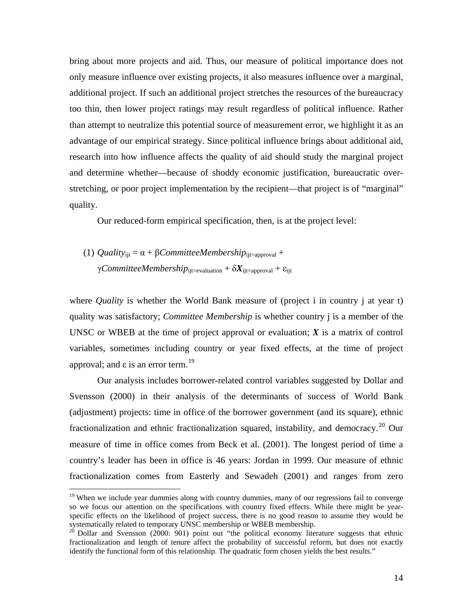<span id="page-16-0"></span>bring about more projects and aid. Thus, our measure of political importance does not only measure influence over existing projects, it also measures influence over a marginal, additional project. If such an additional project stretches the resources of the bureaucracy too thin, then lower project ratings may result regardless of political influence. Rather than attempt to neutralize this potential source of measurement error, we highlight it as an advantage of our empirical strategy. Since political influence brings about additional aid, research into how influence affects the quality of aid should study the marginal project and determine whether—because of shoddy economic justification, bureaucratic overstretching, or poor project implementation by the recipient—that project is of "marginal" quality.

Our reduced-form empirical specification, then, is at the project level:

(1) *Quality*<sub>iit</sub> =  $\alpha$  + *βCommitteeMembership*<sub>iit=approval</sub> + γ*CommitteeMembership*<sub>ijt=evaluation +  $\delta X_{\text{ijt}=\text{approxu}} + \varepsilon_{\text{ijt}}$ </sub>

<u>.</u>

where *Quality* is whether the World Bank measure of (project i in country j at year t) quality was satisfactory; *Committee Membership* is whether country j is a member of the UNSC or WBEB at the time of project approval or evaluation; *X* is a matrix of control variables, sometimes including country or year fixed effects, at the time of project approval; and ε is an error term.<sup>[19](#page-16-0)</sup>

Our analysis includes borrower-related control variables suggested by Dollar and Svensson (2000) in their analysis of the determinants of success of World Bank (adjustment) projects: time in office of the borrower government (and its square), ethnic fractionalization and ethnic fractionalization squared, instability, and democracy.<sup>[20](#page-16-0)</sup> Our measure of time in office comes from Beck et al. (2001). The longest period of time a country's leader has been in office is 46 years: Jordan in 1999. Our measure of ethnic fractionalization comes from Easterly and Sewadeh (2001) and ranges from zero

 $19$  When we include year dummies along with country dummies, many of our regressions fail to converge so we focus our attention on the specifications with country fixed effects. While there might be yearspecific effects on the likelihood of project success, there is no good reason to assume they would be systematically related to temporary UNSC membership or WBEB membership.

 $20$  Dollar and Svensson (2000: 901) point out "the political economy literature suggests that ethnic fractionalization and length of tenure affect the probability of successful reform, but does not exactly identify the functional form of this relationship. The quadratic form chosen yields the best results."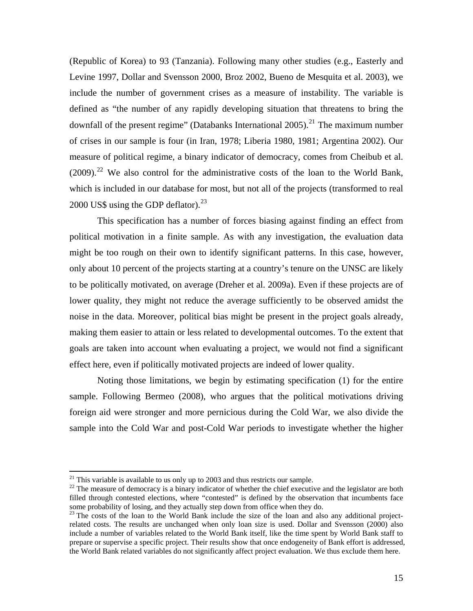<span id="page-17-0"></span>(Republic of Korea) to 93 (Tanzania). Following many other studies (e.g., Easterly and Levine 1997, Dollar and Svensson 2000, Broz 2002, Bueno de Mesquita et al. 2003), we include the number of government crises as a measure of instability. The variable is defined as "the number of any rapidly developing situation that threatens to bring the downfall of the present regime" (Databanks International 2005).<sup>[21](#page-17-0)</sup> The maximum number of crises in our sample is four (in Iran, 1978; Liberia 1980, 1981; Argentina 2002). Our measure of political regime, a binary indicator of democracy, comes from Cheibub et al.  $(2009)$ <sup>[22](#page-17-0)</sup> We also control for the administrative costs of the loan to the World Bank, which is included in our database for most, but not all of the projects (transformed to real 2000 US\$ using the GDP deflator). $^{23}$  $^{23}$  $^{23}$ 

This specification has a number of forces biasing against finding an effect from political motivation in a finite sample. As with any investigation, the evaluation data might be too rough on their own to identify significant patterns. In this case, however, only about 10 percent of the projects starting at a country's tenure on the UNSC are likely to be politically motivated, on average (Dreher et al. 2009a). Even if these projects are of lower quality, they might not reduce the average sufficiently to be observed amidst the noise in the data. Moreover, political bias might be present in the project goals already, making them easier to attain or less related to developmental outcomes. To the extent that goals are taken into account when evaluating a project, we would not find a significant effect here, even if politically motivated projects are indeed of lower quality.

Noting those limitations, we begin by estimating specification (1) for the entire sample. Following Bermeo (2008), who argues that the political motivations driving foreign aid were stronger and more pernicious during the Cold War, we also divide the sample into the Cold War and post-Cold War periods to investigate whether the higher

1

 $21$  This variable is available to us only up to 2003 and thus restricts our sample.

<sup>&</sup>lt;sup>22</sup> The measure of democracy is a binary indicator of whether the chief executive and the legislator are both filled through contested elections, where "contested" is defined by the observation that incumbents face some probability of losing, and they actually step down from office when they do.

<sup>&</sup>lt;sup>23</sup> The costs of the loan to the World Bank include the size of the loan and also any additional projectrelated costs. The results are unchanged when only loan size is used. Dollar and Svensson (2000) also include a number of variables related to the World Bank itself, like the time spent by World Bank staff to prepare or supervise a specific project. Their results show that once endogeneity of Bank effort is addressed, the World Bank related variables do not significantly affect project evaluation. We thus exclude them here.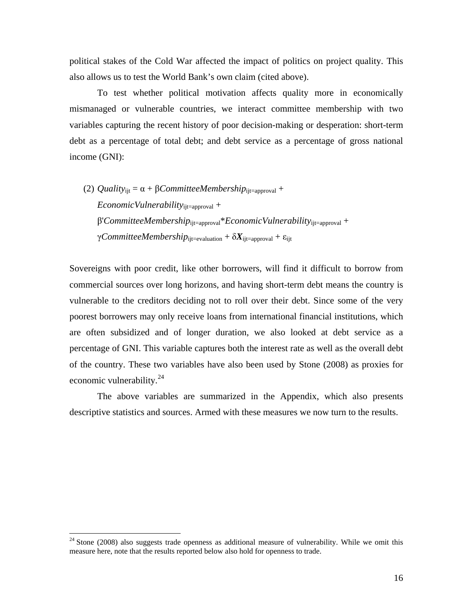<span id="page-18-0"></span>political stakes of the Cold War affected the impact of politics on project quality. This also allows us to test the World Bank's own claim (cited above).

To test whether political motivation affects quality more in economically mismanaged or vulnerable countries, we interact committee membership with two variables capturing the recent history of poor decision-making or desperation: short-term debt as a percentage of total debt; and debt service as a percentage of gross national income (GNI):

(2) *Quality*<sub>ijt</sub> =  $\alpha$  + *βCommitteeMembership*<sub>ijt=approval</sub> + *EconomicVulnerability*ijt=approval + β'*CommitteeMembership*ijt=approval\**EconomicVulnerability*ijt=approval + γ*CommitteeMembership*ijt=evaluation + δ*X*ijt=approval + εijt

Sovereigns with poor credit, like other borrowers, will find it difficult to borrow from commercial sources over long horizons, and having short-term debt means the country is vulnerable to the creditors deciding not to roll over their debt. Since some of the very poorest borrowers may only receive loans from international financial institutions, which are often subsidized and of longer duration, we also looked at debt service as a percentage of GNI. This variable captures both the interest rate as well as the overall debt of the country. These two variables have also been used by Stone (2008) as proxies for economic vulnerability.<sup>[24](#page-18-0)</sup>

The above variables are summarized in the Appendix, which also presents descriptive statistics and sources. Armed with these measures we now turn to the results.

1

 $24$  Stone (2008) also suggests trade openness as additional measure of vulnerability. While we omit this measure here, note that the results reported below also hold for openness to trade.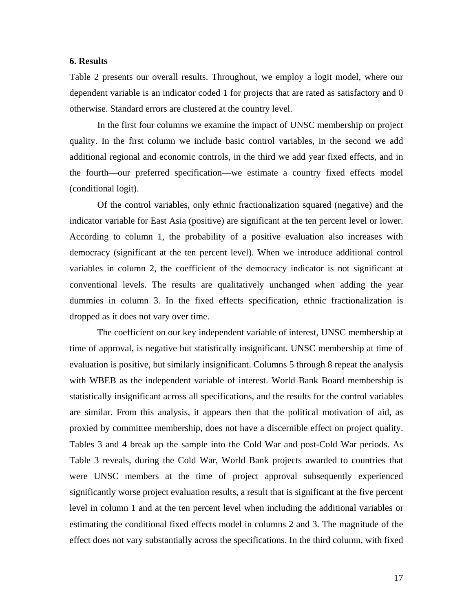#### **6. Results**

Table 2 presents our overall results. Throughout, we employ a logit model, where our dependent variable is an indicator coded 1 for projects that are rated as satisfactory and 0 otherwise. Standard errors are clustered at the country level.

In the first four columns we examine the impact of UNSC membership on project quality. In the first column we include basic control variables, in the second we add additional regional and economic controls, in the third we add year fixed effects, and in the fourth—our preferred specification—we estimate a country fixed effects model (conditional logit).

Of the control variables, only ethnic fractionalization squared (negative) and the indicator variable for East Asia (positive) are significant at the ten percent level or lower. According to column 1, the probability of a positive evaluation also increases with democracy (significant at the ten percent level). When we introduce additional control variables in column 2, the coefficient of the democracy indicator is not significant at conventional levels. The results are qualitatively unchanged when adding the year dummies in column 3. In the fixed effects specification, ethnic fractionalization is dropped as it does not vary over time.

The coefficient on our key independent variable of interest, UNSC membership at time of approval, is negative but statistically insignificant. UNSC membership at time of evaluation is positive, but similarly insignificant. Columns 5 through 8 repeat the analysis with WBEB as the independent variable of interest. World Bank Board membership is statistically insignificant across all specifications, and the results for the control variables are similar. From this analysis, it appears then that the political motivation of aid, as proxied by committee membership, does not have a discernible effect on project quality. Tables 3 and 4 break up the sample into the Cold War and post-Cold War periods. As Table 3 reveals, during the Cold War, World Bank projects awarded to countries that were UNSC members at the time of project approval subsequently experienced significantly worse project evaluation results, a result that is significant at the five percent level in column 1 and at the ten percent level when including the additional variables or estimating the conditional fixed effects model in columns 2 and 3. The magnitude of the effect does not vary substantially across the specifications. In the third column, with fixed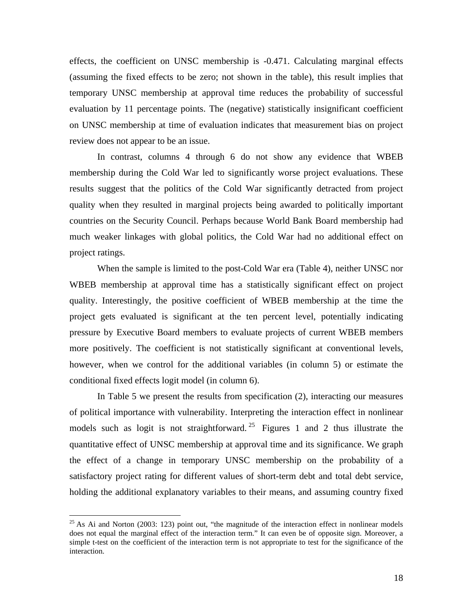<span id="page-20-0"></span>effects, the coefficient on UNSC membership is -0.471. Calculating marginal effects (assuming the fixed effects to be zero; not shown in the table), this result implies that temporary UNSC membership at approval time reduces the probability of successful evaluation by 11 percentage points. The (negative) statistically insignificant coefficient on UNSC membership at time of evaluation indicates that measurement bias on project review does not appear to be an issue.

In contrast, columns 4 through 6 do not show any evidence that WBEB membership during the Cold War led to significantly worse project evaluations. These results suggest that the politics of the Cold War significantly detracted from project quality when they resulted in marginal projects being awarded to politically important countries on the Security Council. Perhaps because World Bank Board membership had much weaker linkages with global politics, the Cold War had no additional effect on project ratings.

When the sample is limited to the post-Cold War era (Table 4), neither UNSC nor WBEB membership at approval time has a statistically significant effect on project quality. Interestingly, the positive coefficient of WBEB membership at the time the project gets evaluated is significant at the ten percent level, potentially indicating pressure by Executive Board members to evaluate projects of current WBEB members more positively. The coefficient is not statistically significant at conventional levels, however, when we control for the additional variables (in column 5) or estimate the conditional fixed effects logit model (in column 6).

In Table 5 we present the results from specification (2), interacting our measures of political importance with vulnerability. Interpreting the interaction effect in nonlinear models such as logit is not straightforward.<sup>[25](#page-20-0)</sup> Figures 1 and 2 thus illustrate the quantitative effect of UNSC membership at approval time and its significance. We graph the effect of a change in temporary UNSC membership on the probability of a satisfactory project rating for different values of short-term debt and total debt service, holding the additional explanatory variables to their means, and assuming country fixed

<u>.</u>

 $^{25}$  As Ai and Norton (2003: 123) point out, "the magnitude of the interaction effect in nonlinear models does not equal the marginal effect of the interaction term." It can even be of opposite sign. Moreover, a simple t-test on the coefficient of the interaction term is not appropriate to test for the significance of the interaction.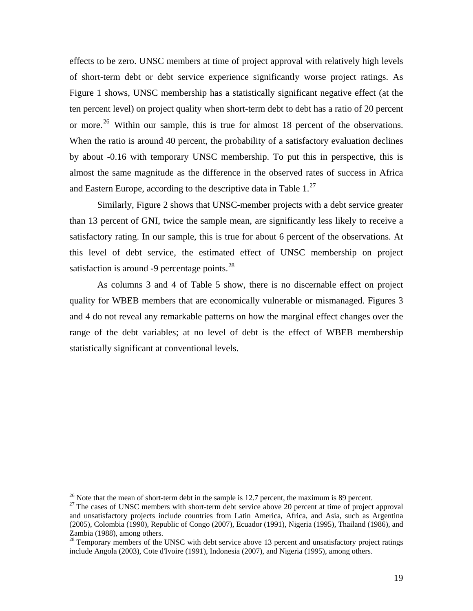<span id="page-21-0"></span>effects to be zero. UNSC members at time of project approval with relatively high levels of short-term debt or debt service experience significantly worse project ratings. As Figure 1 shows, UNSC membership has a statistically significant negative effect (at the ten percent level) on project quality when short-term debt to debt has a ratio of 20 percent or more.<sup>[26](#page-21-0)</sup> Within our sample, this is true for almost 18 percent of the observations. When the ratio is around 40 percent, the probability of a satisfactory evaluation declines by about -0.16 with temporary UNSC membership. To put this in perspective, this is almost the same magnitude as the difference in the observed rates of success in Africa and Eastern Europe, according to the descriptive data in Table  $1.^{27}$ 

Similarly, Figure 2 shows that UNSC-member projects with a debt service greater than 13 percent of GNI, twice the sample mean, are significantly less likely to receive a satisfactory rating. In our sample, this is true for about 6 percent of the observations. At this level of debt service, the estimated effect of UNSC membership on project satisfaction is around -9 percentage points.  $28$ 

As columns 3 and 4 of Table 5 show, there is no discernable effect on project quality for WBEB members that are economically vulnerable or mismanaged. Figures 3 and 4 do not reveal any remarkable patterns on how the marginal effect changes over the range of the debt variables; at no level of debt is the effect of WBEB membership statistically significant at conventional levels.

 $26$  Note that the mean of short-term debt in the sample is 12.7 percent, the maximum is 89 percent.

 $27$  The cases of UNSC members with short-term debt service above 20 percent at time of project approval and unsatisfactory projects include countries from Latin America, Africa, and Asia, such as Argentina (2005), Colombia (1990), Republic of Congo (2007), Ecuador (1991), Nigeria (1995), Thailand (1986), and Zambia (1988), among others.

<sup>&</sup>lt;sup>28</sup> Temporary members of the UNSC with debt service above 13 percent and unsatisfactory project ratings include Angola (2003), Cote d'Ivoire (1991), Indonesia (2007), and Nigeria (1995), among others.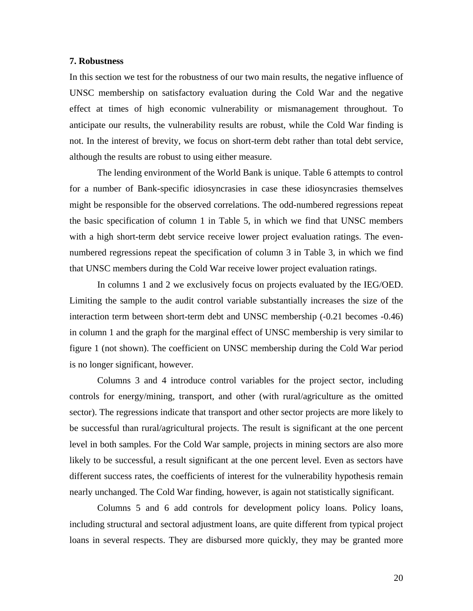#### **7. Robustness**

In this section we test for the robustness of our two main results, the negative influence of UNSC membership on satisfactory evaluation during the Cold War and the negative effect at times of high economic vulnerability or mismanagement throughout. To anticipate our results, the vulnerability results are robust, while the Cold War finding is not. In the interest of brevity, we focus on short-term debt rather than total debt service, although the results are robust to using either measure.

The lending environment of the World Bank is unique. Table 6 attempts to control for a number of Bank-specific idiosyncrasies in case these idiosyncrasies themselves might be responsible for the observed correlations. The odd-numbered regressions repeat the basic specification of column 1 in Table 5, in which we find that UNSC members with a high short-term debt service receive lower project evaluation ratings. The evennumbered regressions repeat the specification of column 3 in Table 3, in which we find that UNSC members during the Cold War receive lower project evaluation ratings.

In columns 1 and 2 we exclusively focus on projects evaluated by the IEG/OED. Limiting the sample to the audit control variable substantially increases the size of the interaction term between short-term debt and UNSC membership (-0.21 becomes -0.46) in column 1 and the graph for the marginal effect of UNSC membership is very similar to figure 1 (not shown). The coefficient on UNSC membership during the Cold War period is no longer significant, however.

Columns 3 and 4 introduce control variables for the project sector, including controls for energy/mining, transport, and other (with rural/agriculture as the omitted sector). The regressions indicate that transport and other sector projects are more likely to be successful than rural/agricultural projects. The result is significant at the one percent level in both samples. For the Cold War sample, projects in mining sectors are also more likely to be successful, a result significant at the one percent level. Even as sectors have different success rates, the coefficients of interest for the vulnerability hypothesis remain nearly unchanged. The Cold War finding, however, is again not statistically significant.

Columns 5 and 6 add controls for development policy loans. Policy loans, including structural and sectoral adjustment loans, are quite different from typical project loans in several respects. They are disbursed more quickly, they may be granted more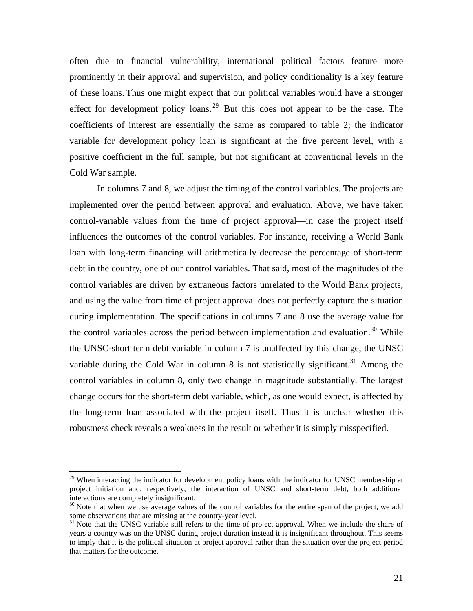<span id="page-23-0"></span>often due to financial vulnerability, international political factors feature more prominently in their approval and supervision, and policy conditionality is a key feature of these loans. Thus one might expect that our political variables would have a stronger effect for development policy loans.<sup>[29](#page-23-0)</sup> But this does not appear to be the case. The coefficients of interest are essentially the same as compared to table 2; the indicator variable for development policy loan is significant at the five percent level, with a positive coefficient in the full sample, but not significant at conventional levels in the Cold War sample.

In columns 7 and 8, we adjust the timing of the control variables. The projects are implemented over the period between approval and evaluation. Above, we have taken control-variable values from the time of project approval—in case the project itself influences the outcomes of the control variables. For instance, receiving a World Bank loan with long-term financing will arithmetically decrease the percentage of short-term debt in the country, one of our control variables. That said, most of the magnitudes of the control variables are driven by extraneous factors unrelated to the World Bank projects, and using the value from time of project approval does not perfectly capture the situation during implementation. The specifications in columns 7 and 8 use the average value for the control variables across the period between implementation and evaluation.<sup>[30](#page-23-0)</sup> While the UNSC-short term debt variable in column 7 is unaffected by this change, the UNSC variable during the Cold War in column 8 is not statistically significant.<sup>[31](#page-23-0)</sup> Among the control variables in column 8, only two change in magnitude substantially. The largest change occurs for the short-term debt variable, which, as one would expect, is affected by the long-term loan associated with the project itself. Thus it is unclear whether this robustness check reveals a weakness in the result or whether it is simply misspecified.

 $\overline{a}$ 

 $29$  When interacting the indicator for development policy loans with the indicator for UNSC membership at project initiation and, respectively, the interaction of UNSC and short-term debt, both additional interactions are completely insignificant.

<sup>&</sup>lt;sup>30</sup> Note that when we use average values of the control variables for the entire span of the project, we add some observations that are missing at the country-year level.

<sup>&</sup>lt;sup>31</sup> Note that the UNSC variable still refers to the time of project approval. When we include the share of years a country was on the UNSC during project duration instead it is insignificant throughout. This seems to imply that it is the political situation at project approval rather than the situation over the project period that matters for the outcome.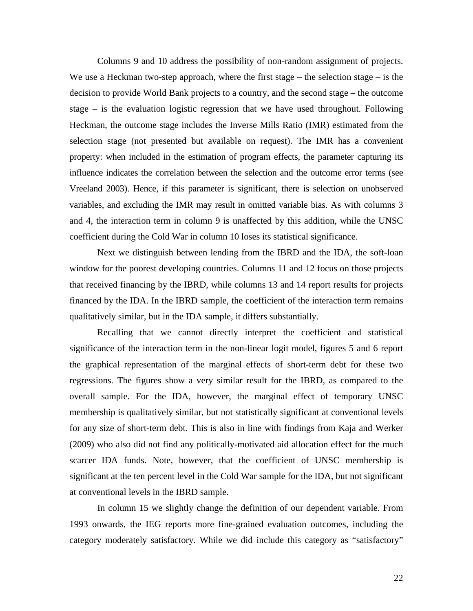Columns 9 and 10 address the possibility of non-random assignment of projects. We use a Heckman two-step approach, where the first stage – the selection stage – is the decision to provide World Bank projects to a country, and the second stage – the outcome stage – is the evaluation logistic regression that we have used throughout. Following Heckman, the outcome stage includes the Inverse Mills Ratio (IMR) estimated from the selection stage (not presented but available on request). The IMR has a convenient property: when included in the estimation of program effects, the parameter capturing its influence indicates the correlation between the selection and the outcome error terms (see Vreeland 2003). Hence, if this parameter is significant, there is selection on unobserved variables, and excluding the IMR may result in omitted variable bias. As with columns 3 and 4, the interaction term in column 9 is unaffected by this addition, while the UNSC coefficient during the Cold War in column 10 loses its statistical significance.

Next we distinguish between lending from the IBRD and the IDA, the soft-loan window for the poorest developing countries. Columns 11 and 12 focus on those projects that received financing by the IBRD, while columns 13 and 14 report results for projects financed by the IDA. In the IBRD sample, the coefficient of the interaction term remains qualitatively similar, but in the IDA sample, it differs substantially.

Recalling that we cannot directly interpret the coefficient and statistical significance of the interaction term in the non-linear logit model, figures 5 and 6 report the graphical representation of the marginal effects of short-term debt for these two regressions. The figures show a very similar result for the IBRD, as compared to the overall sample. For the IDA, however, the marginal effect of temporary UNSC membership is qualitatively similar, but not statistically significant at conventional levels for any size of short-term debt. This is also in line with findings from Kaja and Werker (2009) who also did not find any politically-motivated aid allocation effect for the much scarcer IDA funds. Note, however, that the coefficient of UNSC membership is significant at the ten percent level in the Cold War sample for the IDA, but not significant at conventional levels in the IBRD sample.

In column 15 we slightly change the definition of our dependent variable. From 1993 onwards, the IEG reports more fine-grained evaluation outcomes, including the category moderately satisfactory. While we did include this category as "satisfactory"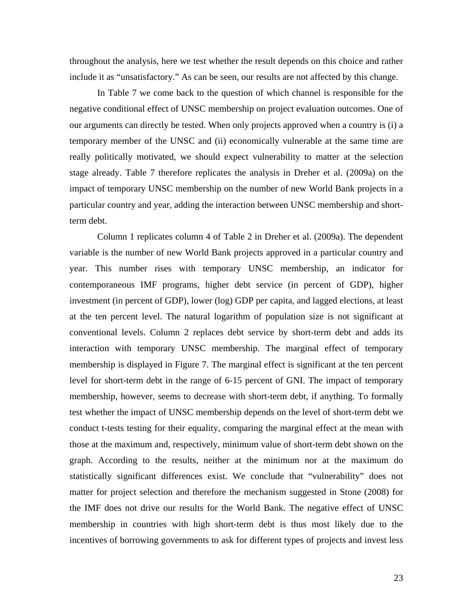throughout the analysis, here we test whether the result depends on this choice and rather include it as "unsatisfactory." As can be seen, our results are not affected by this change.

In Table 7 we come back to the question of which channel is responsible for the negative conditional effect of UNSC membership on project evaluation outcomes. One of our arguments can directly be tested. When only projects approved when a country is (i) a temporary member of the UNSC and (ii) economically vulnerable at the same time are really politically motivated, we should expect vulnerability to matter at the selection stage already. Table 7 therefore replicates the analysis in Dreher et al. (2009a) on the impact of temporary UNSC membership on the number of new World Bank projects in a particular country and year, adding the interaction between UNSC membership and shortterm debt.

Column 1 replicates column 4 of Table 2 in Dreher et al. (2009a). The dependent variable is the number of new World Bank projects approved in a particular country and year. This number rises with temporary UNSC membership, an indicator for contemporaneous IMF programs, higher debt service (in percent of GDP), higher investment (in percent of GDP), lower (log) GDP per capita, and lagged elections, at least at the ten percent level. The natural logarithm of population size is not significant at conventional levels. Column 2 replaces debt service by short-term debt and adds its interaction with temporary UNSC membership. The marginal effect of temporary membership is displayed in Figure 7. The marginal effect is significant at the ten percent level for short-term debt in the range of 6-15 percent of GNI. The impact of temporary membership, however, seems to decrease with short-term debt, if anything. To formally test whether the impact of UNSC membership depends on the level of short-term debt we conduct t-tests testing for their equality, comparing the marginal effect at the mean with those at the maximum and, respectively, minimum value of short-term debt shown on the graph. According to the results, neither at the minimum nor at the maximum do statistically significant differences exist. We conclude that "vulnerability" does not matter for project selection and therefore the mechanism suggested in Stone (2008) for the IMF does not drive our results for the World Bank. The negative effect of UNSC membership in countries with high short-term debt is thus most likely due to the incentives of borrowing governments to ask for different types of projects and invest less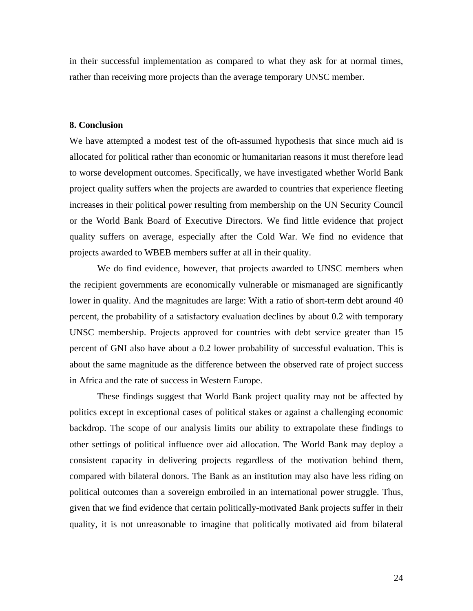in their successful implementation as compared to what they ask for at normal times, rather than receiving more projects than the average temporary UNSC member.

#### **8. Conclusion**

We have attempted a modest test of the oft-assumed hypothesis that since much aid is allocated for political rather than economic or humanitarian reasons it must therefore lead to worse development outcomes. Specifically, we have investigated whether World Bank project quality suffers when the projects are awarded to countries that experience fleeting increases in their political power resulting from membership on the UN Security Council or the World Bank Board of Executive Directors. We find little evidence that project quality suffers on average, especially after the Cold War. We find no evidence that projects awarded to WBEB members suffer at all in their quality.

We do find evidence, however, that projects awarded to UNSC members when the recipient governments are economically vulnerable or mismanaged are significantly lower in quality. And the magnitudes are large: With a ratio of short-term debt around 40 percent, the probability of a satisfactory evaluation declines by about 0.2 with temporary UNSC membership. Projects approved for countries with debt service greater than 15 percent of GNI also have about a 0.2 lower probability of successful evaluation. This is about the same magnitude as the difference between the observed rate of project success in Africa and the rate of success in Western Europe.

These findings suggest that World Bank project quality may not be affected by politics except in exceptional cases of political stakes or against a challenging economic backdrop. The scope of our analysis limits our ability to extrapolate these findings to other settings of political influence over aid allocation. The World Bank may deploy a consistent capacity in delivering projects regardless of the motivation behind them, compared with bilateral donors. The Bank as an institution may also have less riding on political outcomes than a sovereign embroiled in an international power struggle. Thus, given that we find evidence that certain politically-motivated Bank projects suffer in their quality, it is not unreasonable to imagine that politically motivated aid from bilateral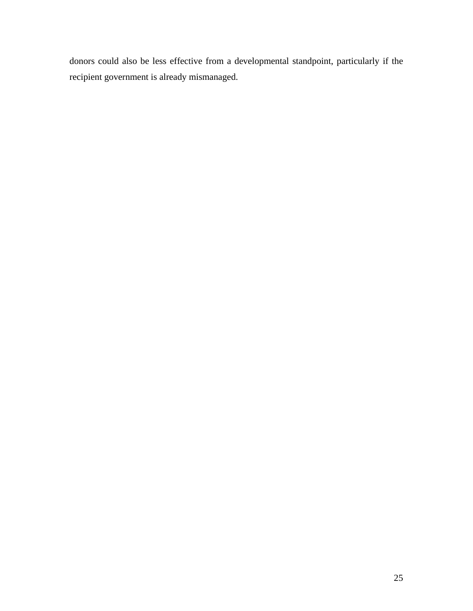donors could also be less effective from a developmental standpoint, particularly if the recipient government is already mismanaged.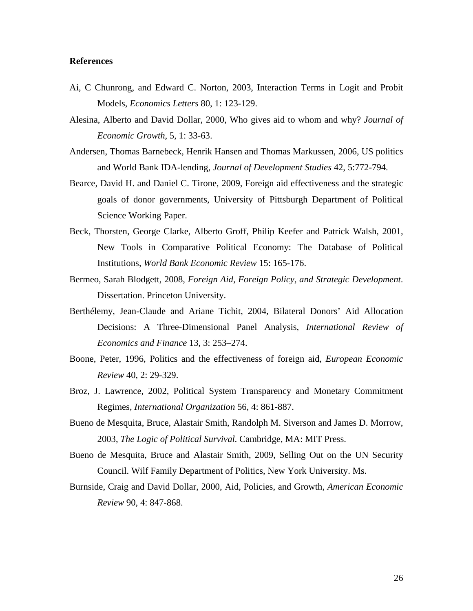#### **References**

- Ai, C Chunrong, and Edward C. Norton, 2003, Interaction Terms in Logit and Probit Models, *Economics Letters* 80, 1: 123-129.
- Alesina, Alberto and David Dollar, 2000, Who gives aid to whom and why? *Journal of Economic Growth*, 5, 1: 33-63.
- Andersen, Thomas Barnebeck, Henrik Hansen and Thomas Markussen, 2006, US politics and World Bank IDA-lending, *Journal of Development Studies* 42, 5:772-794.
- Bearce, David H. and Daniel C. Tirone, 2009, Foreign aid effectiveness and the strategic goals of donor governments, University of Pittsburgh Department of Political Science Working Paper.
- Beck, Thorsten, George Clarke, Alberto Groff, Philip Keefer and Patrick Walsh, 2001, New Tools in Comparative Political Economy: The Database of Political Institutions, *World Bank Economic Review* 15: 165-176.
- Bermeo, Sarah Blodgett, 2008, *Foreign Aid, Foreign Policy, and Strategic Development*. Dissertation. Princeton University.
- Berthélemy, Jean-Claude and Ariane Tichit, 2004, Bilateral Donors' Aid Allocation Decisions: A Three-Dimensional Panel Analysis, *International Review of Economics and Finance* 13, 3: 253–274.
- Boone, Peter, 1996, Politics and the effectiveness of foreign aid, *European Economic Review* 40, 2: 29-329.
- Broz, J. Lawrence, 2002, Political System Transparency and Monetary Commitment Regimes, *International Organization* 56, 4: 861-887.
- Bueno de Mesquita, Bruce, Alastair Smith, Randolph M. Siverson and James D. Morrow, 2003, *The Logic of Political Survival*. Cambridge, MA: MIT Press.
- Bueno de Mesquita, Bruce and Alastair Smith, 2009, Selling Out on the UN Security Council. Wilf Family Department of Politics, New York University. Ms.
- Burnside, Craig and David Dollar, 2000, Aid, Policies, and Growth, *American Economic Review* 90, 4: 847-868.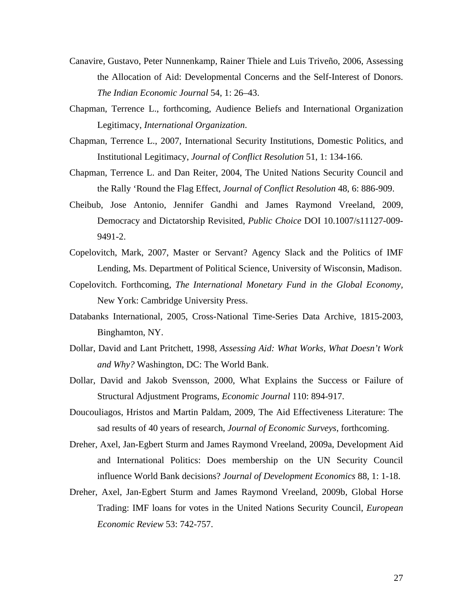- Canavire, Gustavo, Peter Nunnenkamp, Rainer Thiele and Luis Triveño, 2006, Assessing the Allocation of Aid: Developmental Concerns and the Self-Interest of Donors. *The Indian Economic Journal* 54, 1: 26–43.
- Chapman, Terrence L., forthcoming, Audience Beliefs and International Organization Legitimacy, *International Organization*.
- Chapman, Terrence L., 2007, International Security Institutions, Domestic Politics, and Institutional Legitimacy, *Journal of Conflict Resolution* 51, 1: 134-166.
- Chapman, Terrence L. and Dan Reiter, 2004, The United Nations Security Council and the Rally 'Round the Flag Effect, *Journal of Conflict Resolution* 48, 6: 886-909.
- Cheibub, Jose Antonio, Jennifer Gandhi and James Raymond Vreeland, 2009, Democracy and Dictatorship Revisited, *Public Choice* DOI 10.1007/s11127-009- 9491-2.
- Copelovitch, Mark, 2007, Master or Servant? Agency Slack and the Politics of IMF Lending, Ms. Department of Political Science, University of Wisconsin, Madison.
- Copelovitch. Forthcoming, *The International Monetary Fund in the Global Economy,*  New York: Cambridge University Press.
- Databanks International, 2005, Cross-National Time-Series Data Archive, 1815-2003, Binghamton, NY.
- Dollar, David and Lant Pritchett, 1998, *Assessing Aid: What Works, What Doesn't Work and Why?* Washington, DC: The World Bank.
- Dollar, David and Jakob Svensson, 2000, What Explains the Success or Failure of Structural Adjustment Programs, *Economic Journal* 110: 894-917.
- Doucouliagos, Hristos and Martin Paldam, 2009, The Aid Effectiveness Literature: The sad results of 40 years of research, *Journal of Economic Surveys*, forthcoming.
- Dreher, Axel, Jan-Egbert Sturm and James Raymond Vreeland, 2009a, Development Aid and International Politics: Does membership on the UN Security Council influence World Bank decisions? *Journal of Development Economics* 88, 1: 1-18.
- Dreher, Axel, Jan-Egbert Sturm and James Raymond Vreeland, 2009b, Global Horse Trading: IMF loans for votes in the United Nations Security Council, *European Economic Review* 53: 742-757.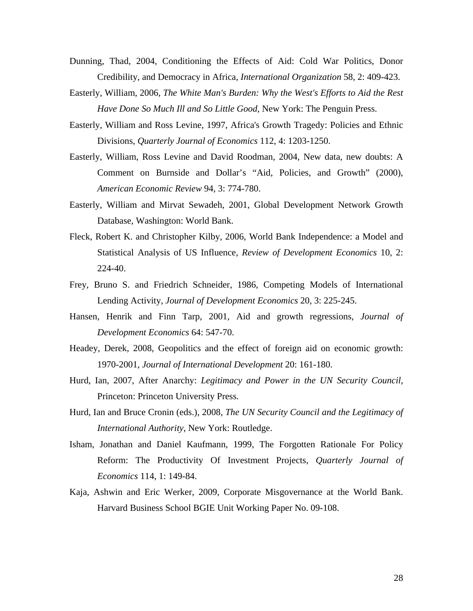- Dunning, Thad, 2004, Conditioning the Effects of Aid: Cold War Politics, Donor Credibility, and Democracy in Africa, *International Organization* 58, 2: 409-423.
- Easterly, William, 2006, *The White Man's Burden: Why the West's Efforts to Aid the Rest Have Done So Much Ill and So Little Good*, New York: The Penguin Press.
- Easterly, William and Ross Levine, 1997, Africa's Growth Tragedy: Policies and Ethnic Divisions, *Quarterly Journal of Economics* 112, 4: 1203-1250.
- Easterly, William, Ross Levine and David Roodman, 2004, New data, new doubts: A Comment on Burnside and Dollar's "Aid, Policies, and Growth" (2000), *American Economic Review* 94, 3: 774-780.
- Easterly, William and Mirvat Sewadeh, 2001, Global Development Network Growth Database, Washington: World Bank.
- Fleck, Robert K. and Christopher Kilby, 2006, World Bank Independence: a Model and Statistical Analysis of US Influence, *Review of Development Economics* 10, 2: 224-40.
- Frey, Bruno S. and Friedrich Schneider, 1986, Competing Models of International Lending Activity, *Journal of Development Economics* 20, 3: 225-245.
- Hansen, Henrik and Finn Tarp, 2001, Aid and growth regressions, *Journal of Development Economics* 64: 547-70.
- Headey, Derek, 2008, Geopolitics and the effect of foreign aid on economic growth: 1970-2001, *Journal of International Development* 20: 161-180.
- Hurd, Ian, 2007, After Anarchy: *Legitimacy and Power in the UN Security Council*, Princeton: Princeton University Press.
- Hurd, Ian and Bruce Cronin (eds.), 2008, *The UN Security Council and the Legitimacy of International Authority*, New York: Routledge.
- Isham, Jonathan and Daniel Kaufmann, 1999, The Forgotten Rationale For Policy Reform: The Productivity Of Investment Projects, *Quarterly Journal of Economics* 114, 1: 149-84.
- Kaja, Ashwin and Eric Werker, 2009, Corporate Misgovernance at the World Bank. Harvard Business School BGIE Unit Working Paper No. 09-108.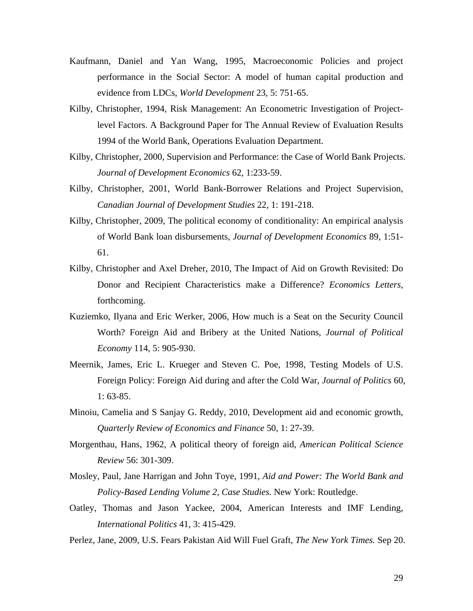- Kaufmann, Daniel and Yan Wang, 1995, Macroeconomic Policies and project performance in the Social Sector: A model of human capital production and evidence from LDCs, *World Development* 23, 5: 751-65.
- Kilby, Christopher, 1994, Risk Management: An Econometric Investigation of Projectlevel Factors. A Background Paper for The Annual Review of Evaluation Results 1994 of the World Bank, Operations Evaluation Department.
- Kilby, Christopher, 2000, Supervision and Performance: the Case of World Bank Projects. *Journal of Development Economics* 62, 1:233-59.
- Kilby, Christopher, 2001, World Bank-Borrower Relations and Project Supervision, *Canadian Journal of Development Studies* 22, 1: 191-218.
- Kilby, Christopher, 2009, The political economy of conditionality: An empirical analysis of World Bank loan disbursements, *Journal of Development Economics* 89, 1:51- 61.
- Kilby, Christopher and Axel Dreher, 2010, The Impact of Aid on Growth Revisited: Do Donor and Recipient Characteristics make a Difference? *Economics Letters*, forthcoming.
- Kuziemko, Ilyana and Eric Werker, 2006, How much is a Seat on the Security Council Worth? Foreign Aid and Bribery at the United Nations, *Journal of Political Economy* 114, 5: 905-930.
- Meernik, James, Eric L. Krueger and Steven C. Poe, 1998, Testing Models of U.S. Foreign Policy: Foreign Aid during and after the Cold War, *Journal of Politics* 60, 1: 63-85.
- Minoiu, Camelia and S Sanjay G. Reddy, 2010, Development aid and economic growth, *Quarterly Review of Economics and Finance* 50, 1: 27-39.
- Morgenthau, Hans, 1962, A political theory of foreign aid, *American Political Science Review* 56: 301-309.
- Mosley, Paul, Jane Harrigan and John Toye, 1991, *Aid and Power: The World Bank and Policy-Based Lending Volume 2, Case Studies.* New York: Routledge.
- Oatley, Thomas and Jason Yackee, 2004, American Interests and IMF Lending, *International Politics* 41, 3: 415-429.
- Perlez, Jane, 2009, U.S. Fears Pakistan Aid Will Fuel Graft, *The New York Times.* Sep 20.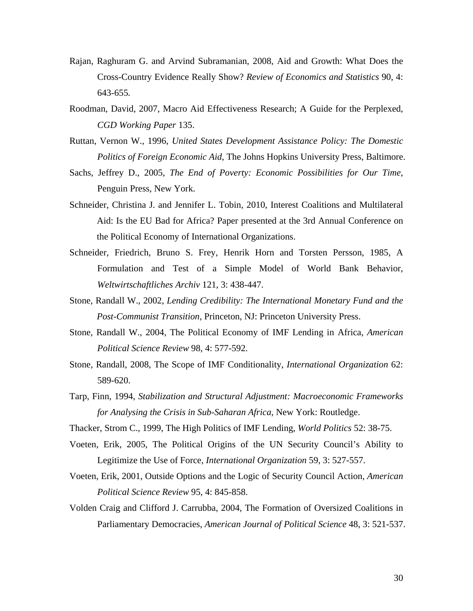- Rajan, Raghuram G. and Arvind Subramanian, 2008, Aid and Growth: What Does the Cross-Country Evidence Really Show? *Review of Economics and Statistics* 90, 4: 643-655*.*
- Roodman, David, 2007, Macro Aid Effectiveness Research; A Guide for the Perplexed, *CGD Working Paper* 135.
- Ruttan, Vernon W., 1996, *United States Development Assistance Policy: The Domestic Politics of Foreign Economic Aid*, The Johns Hopkins University Press, Baltimore.
- Sachs, Jeffrey D., 2005, *The End of Poverty: Economic Possibilities for Our Time*, Penguin Press, New York.
- Schneider, Christina J. and Jennifer L. Tobin, 2010, Interest Coalitions and Multilateral Aid: Is the EU Bad for Africa? Paper presented at the 3rd Annual Conference on the Political Economy of International Organizations.
- Schneider, Friedrich, Bruno S. Frey, Henrik Horn and Torsten Persson, 1985, A Formulation and Test of a Simple Model of World Bank Behavior, *Weltwirtschaftliches Archiv* 121, 3: 438-447.
- Stone, Randall W., 2002, *Lending Credibility: The International Monetary Fund and the Post-Communist Transition*, Princeton, NJ: Princeton University Press.
- Stone, Randall W., 2004, The Political Economy of IMF Lending in Africa, *American Political Science Review* 98, 4: 577-592.
- Stone, Randall, 2008, The Scope of IMF Conditionality, *International Organization* 62: 589-620.
- Tarp, Finn, 1994, *Stabilization and Structural Adjustment: Macroeconomic Frameworks for Analysing the Crisis in Sub-Saharan Africa*, New York: Routledge.
- Thacker, Strom C., 1999, The High Politics of IMF Lending, *World Politics* 52: 38-75.
- Voeten, Erik, 2005, The Political Origins of the UN Security Council's Ability to Legitimize the Use of Force, *International Organization* 59, 3: 527-557.
- Voeten, Erik, 2001, Outside Options and the Logic of Security Council Action, *American Political Science Review* 95, 4: 845-858.
- Volden Craig and Clifford J. Carrubba, 2004, The Formation of Oversized Coalitions in Parliamentary Democracies, *American Journal of Political Science* 48, 3: 521-537.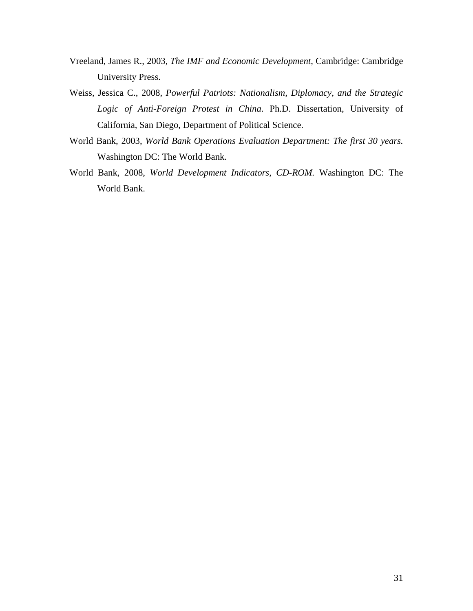- Vreeland, James R., 2003, *The IMF and Economic Development*, Cambridge: Cambridge University Press.
- Weiss, Jessica C., 2008, *Powerful Patriots: Nationalism, Diplomacy, and the Strategic Logic of Anti-Foreign Protest in China*. Ph.D. Dissertation, University of California, San Diego, Department of Political Science.
- World Bank, 2003, *World Bank Operations Evaluation Department: The first 30 years.* Washington DC: The World Bank.
- World Bank, 2008, *World Development Indicators, CD-ROM.* Washington DC: The World Bank.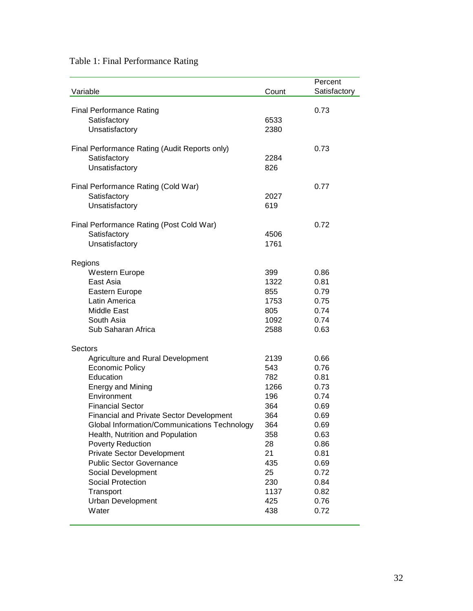### Table 1: Final Performance Rating

|                                                                                                 |       | Percent      |
|-------------------------------------------------------------------------------------------------|-------|--------------|
| Variable                                                                                        | Count | Satisfactory |
|                                                                                                 |       |              |
| <b>Final Performance Rating</b>                                                                 |       | 0.73         |
| Satisfactory                                                                                    | 6533  |              |
| Unsatisfactory                                                                                  | 2380  |              |
|                                                                                                 |       |              |
| Final Performance Rating (Audit Reports only)                                                   |       | 0.73         |
| Satisfactory                                                                                    | 2284  |              |
| Unsatisfactory                                                                                  | 826   |              |
|                                                                                                 |       |              |
| Final Performance Rating (Cold War)                                                             |       | 0.77         |
| Satisfactory                                                                                    | 2027  |              |
| Unsatisfactory                                                                                  | 619   |              |
|                                                                                                 |       |              |
| Final Performance Rating (Post Cold War)                                                        |       | 0.72         |
| Satisfactory                                                                                    | 4506  |              |
| Unsatisfactory                                                                                  | 1761  |              |
|                                                                                                 |       |              |
| Regions                                                                                         |       |              |
| Western Europe                                                                                  | 399   | 0.86         |
| East Asia                                                                                       | 1322  | 0.81         |
| Eastern Europe                                                                                  | 855   | 0.79         |
| Latin America                                                                                   | 1753  | 0.75         |
| <b>Middle East</b>                                                                              | 805   | 0.74         |
| South Asia                                                                                      | 1092  | 0.74         |
| Sub Saharan Africa                                                                              | 2588  | 0.63         |
|                                                                                                 |       |              |
| Sectors                                                                                         |       |              |
| Agriculture and Rural Development                                                               | 2139  | 0.66         |
| <b>Economic Policy</b>                                                                          | 543   | 0.76         |
| Education                                                                                       | 782   | 0.81         |
| <b>Energy and Mining</b>                                                                        | 1266  | 0.73         |
| Environment                                                                                     | 196   | 0.74         |
| <b>Financial Sector</b>                                                                         | 364   | 0.69         |
|                                                                                                 | 364   | 0.69         |
| <b>Financial and Private Sector Development</b><br>Global Information/Communications Technology |       |              |
|                                                                                                 | 364   | 0.69         |
| Health, Nutrition and Population                                                                | 358   | 0.63         |
| <b>Poverty Reduction</b>                                                                        | 28    | 0.86         |
| Private Sector Development                                                                      | 21    | 0.81         |
| <b>Public Sector Governance</b>                                                                 | 435   | 0.69         |
| Social Development                                                                              | 25    | 0.72         |
| Social Protection                                                                               | 230   | 0.84         |
| Transport                                                                                       | 1137  | 0.82         |
| <b>Urban Development</b>                                                                        | 425   | 0.76         |
| Water                                                                                           | 438   | 0.72         |
|                                                                                                 |       |              |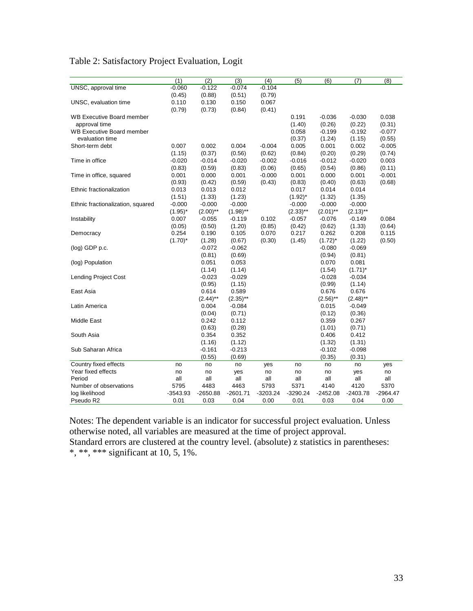| Table 2: Satisfactory Project Evaluation, Logit |  |  |  |
|-------------------------------------------------|--|--|--|
|-------------------------------------------------|--|--|--|

|                                   | (1)        | (2)         | (3)         | (4)        | (5)         | (6)         | (7)         | (8)        |
|-----------------------------------|------------|-------------|-------------|------------|-------------|-------------|-------------|------------|
| UNSC, approval time               | $-0.060$   | $-0.122$    | $-0.074$    | $-0.104$   |             |             |             |            |
|                                   | (0.45)     | (0.88)      | (0.51)      | (0.79)     |             |             |             |            |
| UNSC, evaluation time             | 0.110      | 0.130       | 0.150       | 0.067      |             |             |             |            |
|                                   | (0.79)     | (0.73)      | (0.84)      | (0.41)     |             |             |             |            |
| <b>WB Executive Board member</b>  |            |             |             |            | 0.191       | $-0.036$    | $-0.030$    | 0.038      |
| approval time                     |            |             |             |            | (1.40)      | (0.26)      | (0.22)      | (0.31)     |
| <b>WB Executive Board member</b>  |            |             |             |            | 0.058       | $-0.199$    | $-0.192$    | $-0.077$   |
| evaluation time                   |            |             |             |            | (0.37)      | (1.24)      | (1.15)      | (0.55)     |
| Short-term debt                   | 0.007      | 0.002       | 0.004       | $-0.004$   | 0.005       | 0.001       | 0.002       | $-0.005$   |
|                                   | (1.15)     | (0.37)      | (0.56)      | (0.62)     | (0.84)      | (0.20)      | (0.29)      | (0.74)     |
| Time in office                    | $-0.020$   | $-0.014$    | $-0.020$    | $-0.002$   | $-0.016$    | $-0.012$    | $-0.020$    | 0.003      |
|                                   | (0.83)     | (0.59)      | (0.83)      | (0.06)     | (0.65)      | (0.54)      | (0.86)      | (0.11)     |
| Time in office, squared           | 0.001      | 0.000       | 0.001       | $-0.000$   | 0.001       | 0.000       | 0.001       | $-0.001$   |
|                                   | (0.93)     | (0.42)      | (0.59)      | (0.43)     | (0.83)      | (0.40)      | (0.63)      | (0.68)     |
| Ethnic fractionalization          | 0.013      | 0.013       | 0.012       |            | 0.017       | 0.014       | 0.014       |            |
|                                   | (1.51)     | (1.33)      | (1.23)      |            | $(1.92)^*$  | (1.32)      | (1.35)      |            |
| Ethnic fractionalization, squared | $-0.000$   | $-0.000$    | $-0.000$    |            | $-0.000$    | $-0.000$    | $-0.000$    |            |
|                                   | $(1.95)^*$ | $(2.00)$ ** | $(1.98)$ ** |            | $(2.33)$ ** | $(2.01)$ ** | $(2.13)$ ** |            |
| Instability                       | 0.007      | $-0.055$    | $-0.119$    | 0.102      | $-0.057$    | $-0.076$    | $-0.149$    | 0.084      |
|                                   | (0.05)     | (0.50)      | (1.20)      | (0.85)     | (0.42)      | (0.62)      | (1.33)      | (0.64)     |
| Democracy                         | 0.254      | 0.190       | 0.105       | 0.070      | 0.217       | 0.262       | 0.208       | 0.115      |
|                                   | $(1.70)^*$ | (1.28)      | (0.67)      | (0.30)     | (1.45)      | $(1.72)^*$  | (1.22)      | (0.50)     |
| $(log)$ GDP p.c.                  |            | $-0.072$    | $-0.062$    |            |             | $-0.080$    | $-0.069$    |            |
|                                   |            | (0.81)      | (0.69)      |            |             | (0.94)      | (0.81)      |            |
| (log) Population                  |            | 0.051       | 0.053       |            |             | 0.070       | 0.081       |            |
|                                   |            | (1.14)      | (1.14)      |            |             | (1.54)      | $(1.71)^*$  |            |
| <b>Lending Project Cost</b>       |            | $-0.023$    | $-0.029$    |            |             | $-0.028$    | $-0.034$    |            |
|                                   |            | (0.95)      | (1.15)      |            |             | (0.99)      | (1.14)      |            |
| East Asia                         |            | 0.614       | 0.589       |            |             | 0.676       | 0.676       |            |
|                                   |            | $(2.44)$ ** | $(2.35)$ ** |            |             | $(2.56)$ ** | $(2.48)$ ** |            |
| Latin America                     |            | 0.004       | $-0.084$    |            |             | 0.015       | $-0.049$    |            |
|                                   |            | (0.04)      | (0.71)      |            |             | (0.12)      | (0.36)      |            |
| Middle East                       |            | 0.242       | 0.112       |            |             | 0.359       | 0.267       |            |
|                                   |            | (0.63)      | (0.28)      |            |             | (1.01)      | (0.71)      |            |
| South Asia                        |            | 0.354       | 0.352       |            |             | 0.406       | 0.412       |            |
|                                   |            | (1.16)      | (1.12)      |            |             | (1.32)      | (1.31)      |            |
| Sub Saharan Africa                |            | $-0.161$    | $-0.213$    |            |             | $-0.102$    | $-0.098$    |            |
|                                   |            | (0.55)      | (0.69)      |            |             | (0.35)      | (0.31)      |            |
| Country fixed effects             | no         | no          | no          | yes        | no          | no          | no          | yes        |
| Year fixed effects                | no         | no          | yes         | no         | no          | no          | yes         | no         |
| Period                            | all        | all         | all         | all        | all         | all         | all         | all        |
| Number of observations            | 5795       | 4483        | 4463        | 5793       | 5371        | 4140        | 4120        | 5370       |
| log likelihood                    | $-3543.93$ | $-2650.88$  | $-2601.71$  | $-3203.24$ | $-3290.24$  | $-2452.08$  | $-2403.78$  | $-2964.47$ |
| Pseudo R2                         | 0.01       | 0.03        | 0.04        | 0.00       | 0.01        | 0.03        | 0.04        | 0.00       |

Notes: The dependent variable is an indicator for successful project evaluation. Unless otherwise noted, all variables are measured at the time of project approval. Standard errors are clustered at the country level. (absolute) z statistics in parentheses: \*, \*\*, \*\*\* significant at 10, 5, 1%.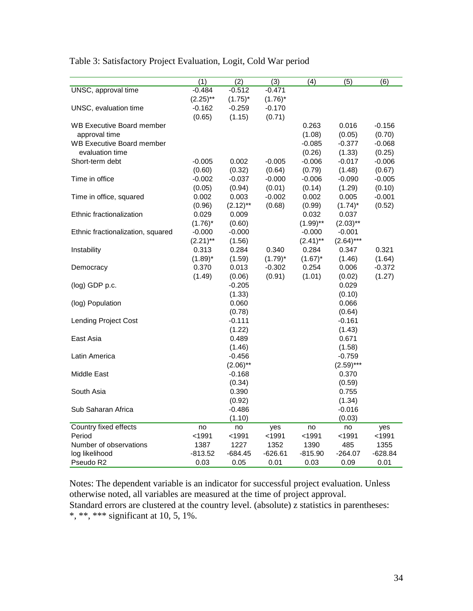|                                   | (1)         | (2)         | (3)        | (4)         | (5)         | (6)       |
|-----------------------------------|-------------|-------------|------------|-------------|-------------|-----------|
| UNSC, approval time               | $-0.484$    | $-0.512$    | $-0.471$   |             |             |           |
|                                   | $(2.25)$ ** | $(1.75)^*$  | $(1.76)^*$ |             |             |           |
| UNSC, evaluation time             | $-0.162$    | $-0.259$    | $-0.170$   |             |             |           |
|                                   | (0.65)      | (1.15)      | (0.71)     |             |             |           |
| <b>WB Executive Board member</b>  |             |             |            | 0.263       | 0.016       | $-0.156$  |
| approval time                     |             |             |            | (1.08)      | (0.05)      | (0.70)    |
| <b>WB Executive Board member</b>  |             |             |            | $-0.085$    | $-0.377$    | $-0.068$  |
| evaluation time                   |             |             |            | (0.26)      | (1.33)      | (0.25)    |
| Short-term debt                   | $-0.005$    | 0.002       | $-0.005$   | $-0.006$    | $-0.017$    | $-0.006$  |
|                                   | (0.60)      | (0.32)      | (0.64)     | (0.79)      | (1.48)      | (0.67)    |
| Time in office                    | $-0.002$    | $-0.037$    | $-0.000$   | $-0.006$    | $-0.090$    | $-0.005$  |
|                                   | (0.05)      | (0.94)      | (0.01)     | (0.14)      | (1.29)      | (0.10)    |
| Time in office, squared           | 0.002       | 0.003       | $-0.002$   | 0.002       | 0.005       | $-0.001$  |
|                                   | (0.96)      | $(2.12)$ ** | (0.68)     | (0.99)      | $(1.74)^*$  | (0.52)    |
| Ethnic fractionalization          | 0.029       | 0.009       |            | 0.032       | 0.037       |           |
|                                   | $(1.76)^*$  | (0.60)      |            | $(1.99)$ ** | $(2.03)$ ** |           |
| Ethnic fractionalization, squared | $-0.000$    | $-0.000$    |            | $-0.000$    | $-0.001$    |           |
|                                   | $(2.21)$ ** | (1.56)      |            | $(2.41)$ ** | $(2.64)***$ |           |
| Instability                       | 0.313       | 0.284       | 0.340      | 0.284       | 0.347       | 0.321     |
|                                   | $(1.89)^*$  | (1.59)      | $(1.79)^*$ | $(1.67)^*$  | (1.46)      | (1.64)    |
| Democracy                         | 0.370       | 0.013       | $-0.302$   | 0.254       | 0.006       | $-0.372$  |
|                                   | (1.49)      | (0.06)      | (0.91)     | (1.01)      | (0.02)      | (1.27)    |
| (log) GDP p.c.                    |             | $-0.205$    |            |             | 0.029       |           |
|                                   |             | (1.33)      |            |             | (0.10)      |           |
| (log) Population                  |             | 0.060       |            |             | 0.066       |           |
|                                   |             | (0.78)      |            |             | (0.64)      |           |
| <b>Lending Project Cost</b>       |             | $-0.111$    |            |             | $-0.161$    |           |
|                                   |             | (1.22)      |            |             | (1.43)      |           |
| East Asia                         |             | 0.489       |            |             | 0.671       |           |
|                                   |             | (1.46)      |            |             | (1.58)      |           |
| Latin America                     |             | $-0.456$    |            |             | $-0.759$    |           |
|                                   |             | $(2.06)$ ** |            |             | $(2.59)***$ |           |
| Middle East                       |             | $-0.168$    |            |             | 0.370       |           |
|                                   |             | (0.34)      |            |             | (0.59)      |           |
| South Asia                        |             | 0.390       |            |             | 0.755       |           |
|                                   |             | (0.92)      |            |             | (1.34)      |           |
| Sub Saharan Africa                |             | $-0.486$    |            |             | $-0.016$    |           |
|                                   |             | (1.10)      |            |             | (0.03)      |           |
| Country fixed effects             | no          | no          | yes        | no          | no          | yes       |
| Period                            | < 1991      | < 1991      | < 1991     | < 1991      | < 1991      | $1991$    |
| Number of observations            | 1387        | 1227        | 1352       | 1390        | 485         | 1355      |
| log likelihood                    | -813.52     | $-684.45$   | $-626.61$  | $-815.90$   | $-264.07$   | $-628.84$ |
| Pseudo R2                         | 0.03        | 0.05        | 0.01       | 0.03        | 0.09        | 0.01      |

Table 3: Satisfactory Project Evaluation, Logit, Cold War period

Notes: The dependent variable is an indicator for successful project evaluation. Unless Standard errors are clustered at the country level. (absolute) z statistics in parentheses: otherwise noted, all variables are measured at the time of project approval. \*, \*\*, \*\*\* significant at 10, 5, 1%.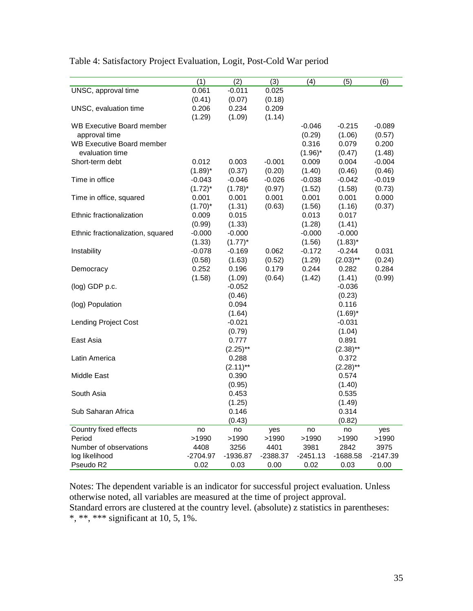|                                   | (1)        | (2)         | (3)        | (4)        | (5)         | (6)        |
|-----------------------------------|------------|-------------|------------|------------|-------------|------------|
| UNSC, approval time               | 0.061      | $-0.011$    | 0.025      |            |             |            |
|                                   | (0.41)     | (0.07)      | (0.18)     |            |             |            |
| UNSC, evaluation time             | 0.206      | 0.234       | 0.209      |            |             |            |
|                                   | (1.29)     | (1.09)      | (1.14)     |            |             |            |
| <b>WB Executive Board member</b>  |            |             |            | $-0.046$   | $-0.215$    | $-0.089$   |
| approval time                     |            |             |            | (0.29)     | (1.06)      | (0.57)     |
| <b>WB Executive Board member</b>  |            |             |            | 0.316      | 0.079       | 0.200      |
| evaluation time                   |            |             |            | $(1.96)^*$ | (0.47)      | (1.48)     |
| Short-term debt                   | 0.012      | 0.003       | $-0.001$   | 0.009      | 0.004       | $-0.004$   |
|                                   | $(1.89)^*$ | (0.37)      | (0.20)     | (1.40)     | (0.46)      | (0.46)     |
| Time in office                    | $-0.043$   | $-0.046$    | $-0.026$   | $-0.038$   | $-0.042$    | $-0.019$   |
|                                   | $(1.72)^*$ | $(1.78)^*$  | (0.97)     | (1.52)     | (1.58)      | (0.73)     |
| Time in office, squared           | 0.001      | 0.001       | 0.001      | 0.001      | 0.001       | 0.000      |
|                                   | $(1.70)^*$ | (1.31)      | (0.63)     | (1.56)     | (1.16)      | (0.37)     |
| Ethnic fractionalization          | 0.009      | 0.015       |            | 0.013      | 0.017       |            |
|                                   | (0.99)     | (1.33)      |            | (1.28)     | (1.41)      |            |
| Ethnic fractionalization, squared | $-0.000$   | $-0.000$    |            | $-0.000$   | $-0.000$    |            |
|                                   | (1.33)     | $(1.77)^*$  |            | (1.56)     | $(1.83)^*$  |            |
| Instability                       | $-0.078$   | $-0.169$    | 0.062      | $-0.172$   | $-0.244$    | 0.031      |
|                                   | (0.58)     | (1.63)      | (0.52)     | (1.29)     | $(2.03)$ ** | (0.24)     |
| Democracy                         | 0.252      | 0.196       | 0.179      | 0.244      | 0.282       | 0.284      |
|                                   | (1.58)     | (1.09)      | (0.64)     | (1.42)     | (1.41)      | (0.99)     |
| (log) GDP p.c.                    |            | $-0.052$    |            |            | $-0.036$    |            |
|                                   |            | (0.46)      |            |            | (0.23)      |            |
| (log) Population                  |            | 0.094       |            |            | 0.116       |            |
|                                   |            | (1.64)      |            |            | $(1.69)^*$  |            |
| <b>Lending Project Cost</b>       |            | $-0.021$    |            |            | $-0.031$    |            |
|                                   |            | (0.79)      |            |            | (1.04)      |            |
| East Asia                         |            | 0.777       |            |            | 0.891       |            |
|                                   |            | $(2.25)$ ** |            |            | $(2.38)$ ** |            |
| Latin America                     |            | 0.288       |            |            | 0.372       |            |
|                                   |            | $(2.11)$ ** |            |            | $(2.28)$ ** |            |
| <b>Middle East</b>                |            | 0.390       |            |            | 0.574       |            |
|                                   |            | (0.95)      |            |            | (1.40)      |            |
| South Asia                        |            | 0.453       |            |            | 0.535       |            |
|                                   |            | (1.25)      |            |            | (1.49)      |            |
| Sub Saharan Africa                |            | 0.146       |            |            | 0.314       |            |
|                                   |            | (0.43)      |            |            | (0.82)      |            |
| Country fixed effects             | no         | no          | yes        | no         | no          | yes        |
| Period                            | >1990      | >1990       | >1990      | >1990      | >1990       | >1990      |
| Number of observations            | 4408       | 3256        | 4401       | 3981       | 2842        | 3975       |
| log likelihood                    | $-2704.97$ | -1936.87    | $-2388.37$ | $-2451.13$ | $-1688.58$  | $-2147.39$ |
| Pseudo R2                         | 0.02       | 0.03        | 0.00       | 0.02       | 0.03        | 0.00       |

Table 4: Satisfactory Project Evaluation, Logit, Post-Cold War period

Notes: The dependent variable is an indicator for successful project evaluation. Unless otherwise noted, all variables are measured at the time of project approval. Standard errors are clustered at the country level. (absolute) z statistics in parentheses: \*, \*\*, \*\*\* significant at 10, 5, 1%.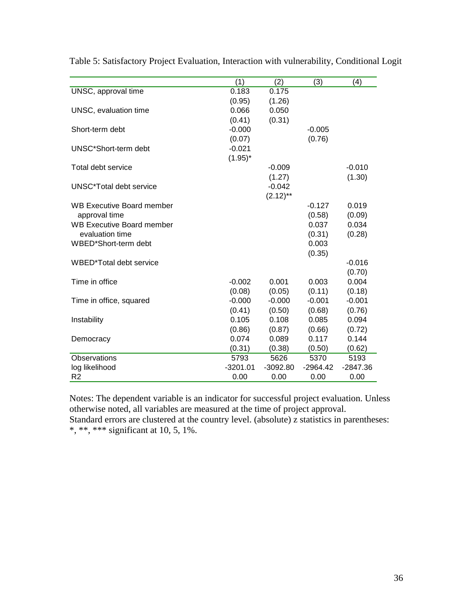|                                  | (1)        | (2)         | (3)        | (4)      |
|----------------------------------|------------|-------------|------------|----------|
| UNSC, approval time              | 0.183      | 0.175       |            |          |
|                                  | (0.95)     | (1.26)      |            |          |
| UNSC, evaluation time            | 0.066      | 0.050       |            |          |
|                                  | (0.41)     | (0.31)      |            |          |
| Short-term debt                  | $-0.000$   |             | $-0.005$   |          |
|                                  | (0.07)     |             | (0.76)     |          |
| UNSC*Short-term debt             | $-0.021$   |             |            |          |
|                                  | $(1.95)^*$ |             |            |          |
| Total debt service               |            | $-0.009$    |            | $-0.010$ |
|                                  |            | (1.27)      |            | (1.30)   |
| UNSC*Total debt service          |            | $-0.042$    |            |          |
|                                  |            | $(2.12)$ ** |            |          |
| WB Executive Board member        |            |             | $-0.127$   | 0.019    |
| approval time                    |            |             | (0.58)     | (0.09)   |
| <b>WB Executive Board member</b> |            |             | 0.037      | 0.034    |
| evaluation time                  |            |             | (0.31)     | (0.28)   |
| WBED*Short-term debt             |            |             | 0.003      |          |
|                                  |            |             | (0.35)     |          |
| WBED*Total debt service          |            |             |            | $-0.016$ |
|                                  |            |             |            | (0.70)   |
| Time in office                   | $-0.002$   | 0.001       | 0.003      | 0.004    |
|                                  | (0.08)     | (0.05)      | (0.11)     | (0.18)   |
| Time in office, squared          | $-0.000$   | $-0.000$    | $-0.001$   | $-0.001$ |
|                                  | (0.41)     | (0.50)      | (0.68)     | (0.76)   |
| Instability                      | 0.105      | 0.108       | 0.085      | 0.094    |
|                                  | (0.86)     | (0.87)      | (0.66)     | (0.72)   |
| Democracy                        | 0.074      | 0.089       | 0.117      | 0.144    |
|                                  | (0.31)     | (0.38)      | (0.50)     | (0.62)   |
| Observations                     | 5793       | 5626        | 5370       | 5193     |
| log likelihood                   | $-3201.01$ | $-3092.80$  | $-2964.42$ | -2847.36 |
| R <sub>2</sub>                   | 0.00       | 0.00        | 0.00       | 0.00     |

Table 5: Satisfactory Project Evaluation, Interaction with vulnerability, Conditional Logit

Notes: The dependent variable is an indicator for successful project evaluation. Unless otherwise noted, all variables are measured at the time of project approval.

Standard errors are clustered at the country level. (absolute) z statistics in parentheses: \*, \*\*, \*\*\* significant at 10, 5, 1%.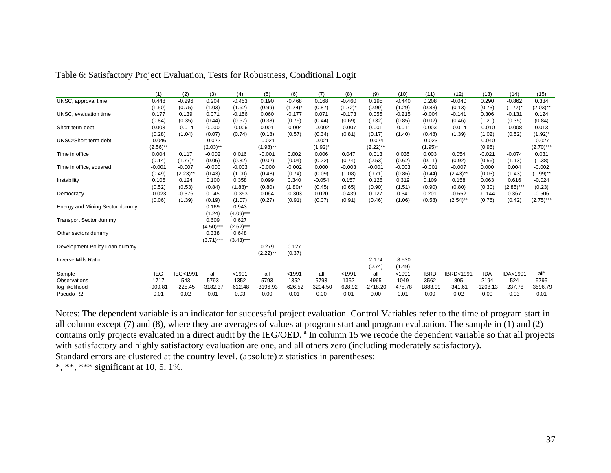|                                | (1)         | (2)         | (3)         | (4)          | (5)         | (6)                   | (7)          | (8)        | (9)         | (10)      | (11)        | (12)                | (13)       | (14)        | (15)             |
|--------------------------------|-------------|-------------|-------------|--------------|-------------|-----------------------|--------------|------------|-------------|-----------|-------------|---------------------|------------|-------------|------------------|
| UNSC, approval time            | 0.448       | $-0.296$    | 0.204       | $-0.453$     | 0.190       | $-0.468$              | 0.168        | $-0.460$   | 0.195       | $-0.440$  | 0.208       | $-0.040$            | 0.290      | $-0.862$    | 0.334            |
|                                | (1.50)      | (0.75)      | (1.03)      | (1.62)       | (0.99)      | $(1.74)^*$            | (0.87)       | $(1.72)^*$ | (0.99)      | (1.29)    | (0.88)      | (0.13)              | (0.73)     | $(1.77)^*$  | $(2.03)$ **      |
| UNSC, evaluation time          | 0.177       | 0.139       | 0.071       | $-0.156$     | 0.060       | $-0.177$              | 0.071        | $-0.173$   | 0.055       | $-0.215$  | $-0.004$    | $-0.141$            | 0.306      | $-0.131$    | 0.124            |
|                                | (0.84)      | (0.35)      | (0.44)      | (0.67)       | (0.38)      | (0.75)                | (0.44)       | (0.69)     | (0.32)      | (0.85)    | (0.02)      | (0.46)              | (1.20)     | (0.35)      | (0.84)           |
| Short-term debt                | 0.003       | $-0.014$    | 0.000       | $-0.006$     | 0.001       | $-0.004$              | $-0.002$     | $-0.007$   | 0.001       | $-0.011$  | 0.003       | $-0.014$            | $-0.010$   | $-0.008$    | 0.013            |
|                                | (0.28)      | (1.04)      | (0.07)      | (0.74)       | (0.18)      | (0.57)                | (0.34)       | (0.81)     | (0.17)      | (1.40)    | (0.48)      | (1.39)              | (1.02)     | (0.52)      | $(1.92)^{*}$     |
| UNSC*Short-term debt           | $-0.046$    |             | $-0.022$    |              | $-0.021$    |                       | $-0.021$     |            | $-0.024$    |           | $-0.023$    |                     | $-0.040$   |             | $-0.027$         |
|                                | $(2.56)$ ** |             | $(2.03)$ ** |              | $(1.98)$ ** |                       | $(1.92)^{*}$ |            | $(2.22)$ ** |           | $(1.95)^*$  |                     | (0.95)     |             | $(2.70)$ ***     |
| Time in office                 | 0.004       | 0.117       | $-0.002$    | 0.016        | $-0.001$    | 0.002                 | 0.006        | 0.047      | 0.013       | 0.035     | 0.003       | 0.054               | $-0.021$   | $-0.074$    | 0.031            |
|                                | (0.14)      | $(1.77)^*$  | (0.06)      | (0.32)       | (0.02)      | (0.04)                | (0.22)       | (0.74)     | (0.53)      | (0.62)    | (0.11)      | (0.92)              | (0.56)     | (1.13)      | (1.38)           |
| Time in office, squared        | $-0.001$    | $-0.007$    | $-0.000$    | $-0.003$     | $-0.000$    | $-0.002$              | 0.000        | $-0.003$   | $-0.001$    | $-0.003$  | $-0.001$    | $-0.007$            | 0.000      | 0.004       | $-0.002$         |
|                                | (0.49)      | $(2.23)$ ** | (0.43)      | (1.00)       | (0.48)      | (0.74)                | (0.09)       | (1.08)     | (0.71)      | (0.86)    | (0.44)      | $(2.43)$ **         | (0.03)     | (1.43)      | $(1.99)$ **      |
| Instability                    | 0.106       | 0.124       | 0.100       | 0.358        | 0.099       | 0.340                 | $-0.054$     | 0.157      | 0.128       | 0.319     | 0.109       | 0.158               | 0.063      | 0.616       | $-0.024$         |
|                                | (0.52)      | (0.53)      | (0.84)      | $(1.88)^{*}$ | (0.80)      | $(1.80)$ <sup>*</sup> | (0.45)       | (0.65)     | (0.90)      | (1.51)    | (0.90)      | (0.80)              | (0.30)     | $(2.85)***$ | (0.23)           |
| Democracy                      | $-0.023$    | $-0.376$    | 0.045       | $-0.353$     | 0.064       | $-0.303$              | 0.020        | $-0.439$   | 0.127       | $-0.341$  | 0.201       | $-0.652$            | $-0.144$   | 0.367       | $-0.506$         |
|                                | (0.06)      | (1.39)      | (0.19)      | (1.07)       | (0.27)      | (0.91)                | (0.07)       | (0.91)     | (0.46)      | (1.06)    | (0.58)      | $(2.54)$ **         | (0.76)     | (0.42)      | $(2.75)***$      |
| Energy and Mining Sector dummy |             |             | 0.169       | 0.943        |             |                       |              |            |             |           |             |                     |            |             |                  |
|                                |             |             | (1.24)      | $(4.09)***$  |             |                       |              |            |             |           |             |                     |            |             |                  |
| <b>Transport Sector dummy</b>  |             |             | 0.609       | 0.627        |             |                       |              |            |             |           |             |                     |            |             |                  |
|                                |             |             | $(4.50)$ ** | $(2.62)***$  |             |                       |              |            |             |           |             |                     |            |             |                  |
| Other sectors dummy            |             |             | 0.338       | 0.648        |             |                       |              |            |             |           |             |                     |            |             |                  |
|                                |             |             | $(3.71***$  | $(3.43)***$  |             |                       |              |            |             |           |             |                     |            |             |                  |
| Development Policy Loan dummy  |             |             |             |              | 0.279       | 0.127                 |              |            |             |           |             |                     |            |             |                  |
|                                |             |             |             |              | $(2.22)$ ** | (0.37)                |              |            |             |           |             |                     |            |             |                  |
| <b>Inverse Mills Ratio</b>     |             |             |             |              |             |                       |              |            | 2.174       | $-8.530$  |             |                     |            |             |                  |
|                                |             |             |             |              |             |                       |              |            | (0.74)      | (1.49)    |             |                     |            |             |                  |
| Sample                         | <b>IEG</b>  | IEG<1991    | all         | < 1991       | all         | < 1991                | all          | $1991$     | all         | < 1991    | <b>IBRD</b> | <b>IBRD&lt;1991</b> | <b>IDA</b> | IDA<1991    | all <sup>a</sup> |
| Observations                   | 1717        | 543         | 5793        | 1352         | 5793        | 1352                  | 5793         | 1352       | 4965        | 1049      | 3562        | 805                 | 2194       | 524         | 5795             |
| log likelihood                 | $-909.81$   | $-225.45$   | $-3182.37$  | $-612.48$    | -3196.93    | $-626.52$             | $-3204.50$   | $-628.92$  | -2718.20    | $-475.78$ | -1883.09    | $-341.61$           | $-1208.13$ | $-237.78$   | -3596.79         |
| Pseudo R2                      | 0.01        | 0.02        | 0.01        | 0.03         | 0.00        | 0.01                  | 0.00         | 0.01       | 0.00        | 0.01      | 0.00        | 0.02                | 0.00       | 0.03        | 0.01             |

Table 6: Satisfactory Project Evaluation, Tests for Robustness, Conditional Logit

Notes: The dependent variable is an indicator for successful project evaluation. Control Variables refer to the time of program start in all column except (7) and (8), where they are averages of values at program start and program evaluation. The sample in (1) and (2) contains only projects evaluated in a direct audit by the IEG/OED.<sup>a</sup> In column 15 we recode the dependent variable so that all projects with satisfactory and highly satisfactory evaluation are one, and all others zero (including moderately satisfactory). Standard errors are clustered at the country level. (absolute) z statistics in parentheses: \*, \*\*, \*\*\* significant at 10, 5, 1%.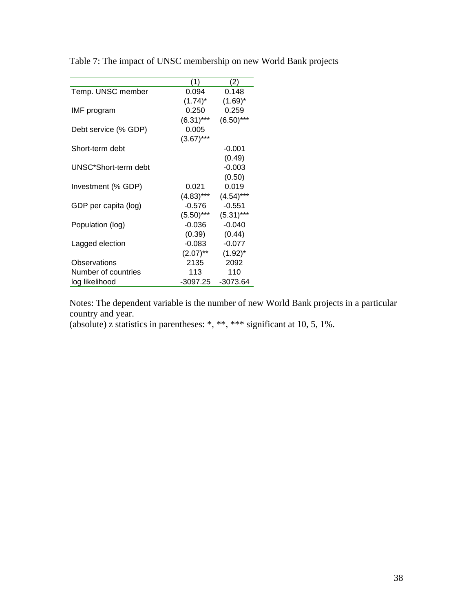|                      | (1)          | (2)          |
|----------------------|--------------|--------------|
| Temp. UNSC member    | 0.094        | 0.148        |
|                      | $(1.74)^*$   | $(1.69)^*$   |
| IMF program          | 0.250        | 0.259        |
|                      | $(6.31)***$  | $(6.50)$ *** |
| Debt service (% GDP) | 0.005        |              |
|                      | $(3.67)***$  |              |
| Short-term debt      |              | $-0.001$     |
|                      |              | (0.49)       |
| UNSC*Short-term debt |              | $-0.003$     |
|                      |              | (0.50)       |
| Investment (% GDP)   | 0.021        | 0.019        |
|                      | $(4.83)$ *** | $(4.54)***$  |
| GDP per capita (log) | $-0.576$     | $-0.551$     |
|                      | $(5.50)$ *** | $(5.31)***$  |
| Population (log)     | -0.036       | $-0.040$     |
|                      | (0.39)       | (0.44)       |
| Lagged election      | $-0.083$     | $-0.077$     |
|                      | $(2.07)$ **  | $(1.92)^*$   |
| Observations         | 2135         | 2092         |
| Number of countries  | 113          | 110          |
| log likelihood       | -3097.25     | -3073.64     |

Table 7: The impact of UNSC membership on new World Bank projects

Notes: The dependent variable is the number of new World Bank projects in a particular country and year.

(absolute) z statistics in parentheses: \*, \*\*, \*\*\* significant at 10, 5, 1%.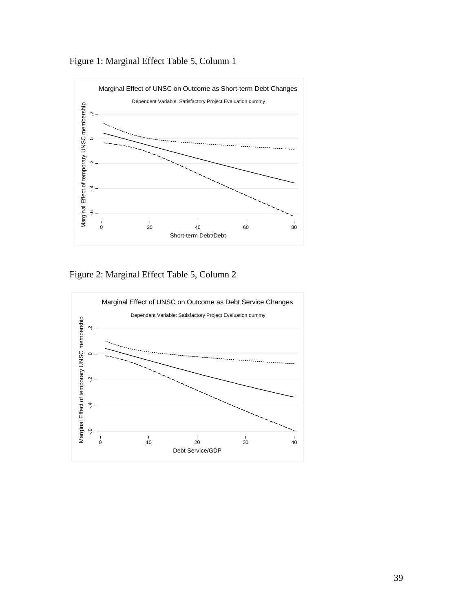



Figure 2: Marginal Effect Table 5, Column 2

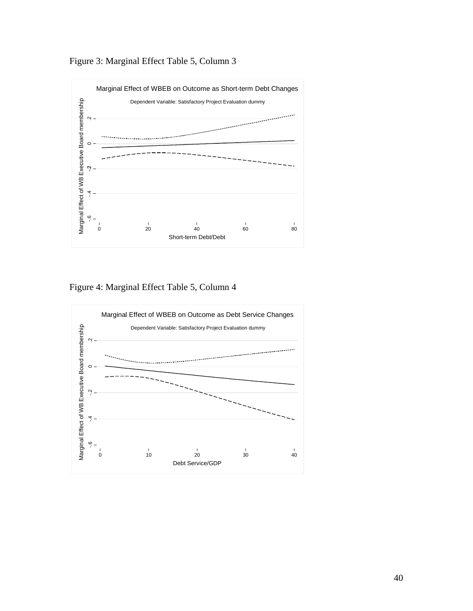Figure 3: Marginal Effect Table 5, Column 3



Figure 4: Marginal Effect Table 5, Column 4

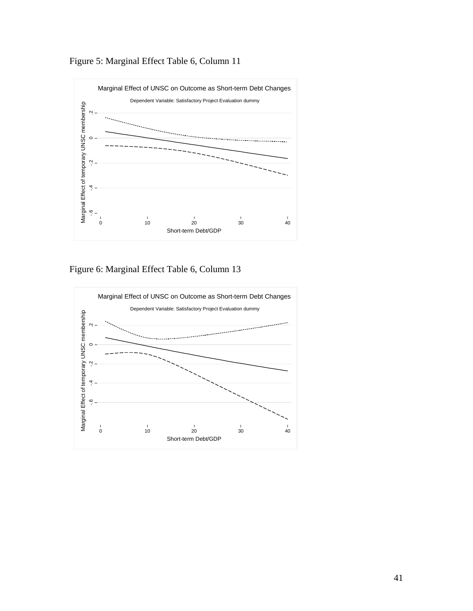



Figure 6: Marginal Effect Table 6, Column 13

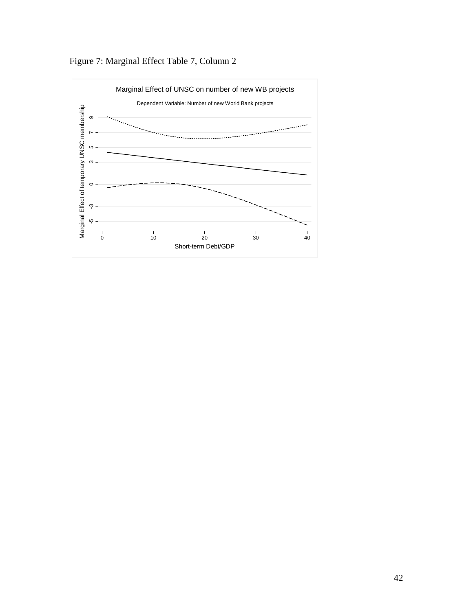

Figure 7: Marginal Effect Table 7, Column 2